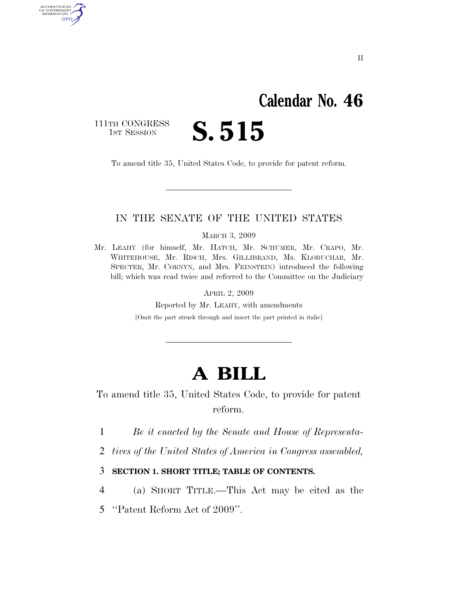# **Calendar No. 46**

111TH CONGRESS<br>1st Session

AUTHENTICATED<br>U.S. GOVERNMENT<br>INFORMATION GPO

S. 515

To amend title 35, United States Code, to provide for patent reform.

## IN THE SENATE OF THE UNITED STATES

MARCH 3, 2009

Mr. LEAHY (for himself, Mr. HATCH, Mr. SCHUMER, Mr. CRAPO, Mr. WHITEHOUSE, Mr. RISCH, Mrs. GILLIBRAND, Ms. KLOBUCHAR, Mr. SPECTER, Mr. CORNYN, and Mrs. FEINSTEIN) introduced the following bill; which was read twice and referred to the Committee on the Judiciary

APRIL 2, 2009

Reported by Mr. LEAHY, with amendments

[Omit the part struck through and insert the part printed in italic]

# **A BILL**

To amend title 35, United States Code, to provide for patent reform.

1 *Be it enacted by the Senate and House of Representa-*

2 *tives of the United States of America in Congress assembled,* 

### 3 **SECTION 1. SHORT TITLE; TABLE OF CONTENTS.**

4 (a) SHORT TITLE.—This Act may be cited as the

5 ''Patent Reform Act of 2009''.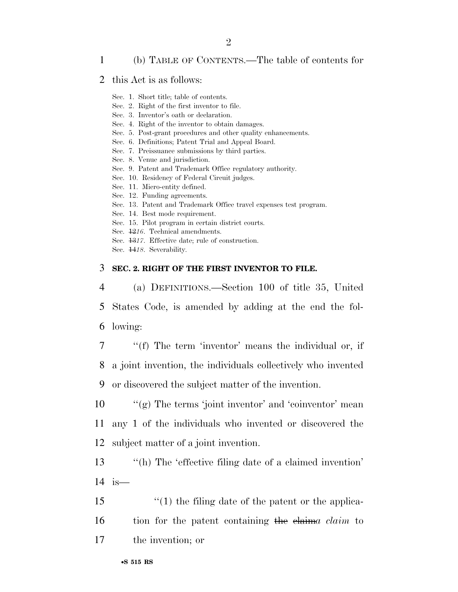## 1 (b) TABLE OF CONTENTS.—The table of contents for

#### 2 this Act is as follows:

- Sec. 1. Short title; table of contents.
- Sec. 2. Right of the first inventor to file.
- Sec. 3. Inventor's oath or declaration.
- Sec. 4. Right of the inventor to obtain damages.
- Sec. 5. Post-grant procedures and other quality enhancements.
- Sec. 6. Definitions; Patent Trial and Appeal Board.
- Sec. 7. Preissuance submissions by third parties.
- Sec. 8. Venue and jurisdiction.
- Sec. 9. Patent and Trademark Office regulatory authority.
- Sec. 10. Residency of Federal Circuit judges.
- Sec. 11. Micro-entity defined.
- Sec. 12. Funding agreements.
- Sec. 13. Patent and Trademark Office travel expenses test program.
- Sec. 14. Best mode requirement.
- Sec. 15. Pilot program in certain district courts.
- Sec. 12*16*. Technical amendments.
- Sec. 13*17*. Effective date; rule of construction.
- Sec. 14*18*. Severability.

#### 3 **SEC. 2. RIGHT OF THE FIRST INVENTOR TO FILE.**

4 (a) DEFINITIONS.—Section 100 of title 35, United 5 States Code, is amended by adding at the end the fol-6 lowing:

7 ''(f) The term 'inventor' means the individual or, if 8 a joint invention, the individuals collectively who invented 9 or discovered the subject matter of the invention.

10 ''(g) The terms 'joint inventor' and 'coinventor' mean 11 any 1 of the individuals who invented or discovered the 12 subject matter of a joint invention.

13 ''(h) The 'effective filing date of a claimed invention' 14 is—

15 ''(1) the filing date of the patent or the applica-16 tion for the patent containing the claim*a claim* to 17 the invention; or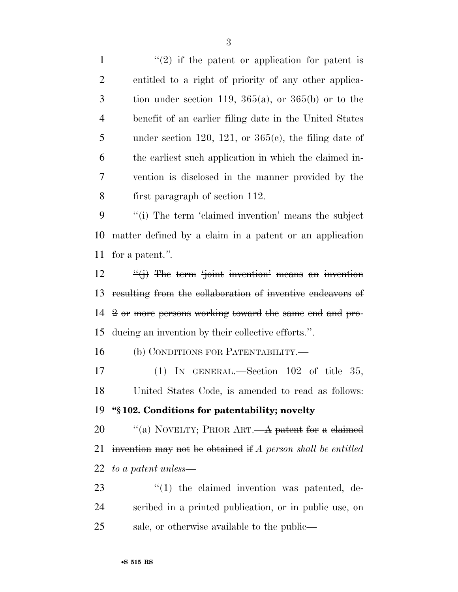$\frac{1}{2}$  if the patent or application for patent is entitled to a right of priority of any other applica- tion under section 119, 365(a), or 365(b) or to the benefit of an earlier filing date in the United States 5 under section 120, 121, or  $365(e)$ , the filing date of the earliest such application in which the claimed in- vention is disclosed in the manner provided by the first paragraph of section 112.

 ''(i) The term 'claimed invention' means the subject matter defined by a claim in a patent or an application for a patent.*''.* 

 ''(j) The term 'joint invention' means an invention resulting from the collaboration of inventive endeavors of 2 or more persons working toward the same end and pro-ducing an invention by their collective efforts.''.

(b) CONDITIONS FOR PATENTABILITY.—

 (1) IN GENERAL.—Section 102 of title 35, United States Code, is amended to read as follows: **''§ 102. Conditions for patentability; novelty** 

20 "(a) NOVELTY; PRIOR ART.—A patent for a claimed invention may not be obtained if *A person shall be entitled* 

*to a patent unless*—

23  $\frac{1}{2}$  (1) the claimed invention was patented, de- scribed in a printed publication, or in public use, on sale, or otherwise available to the public—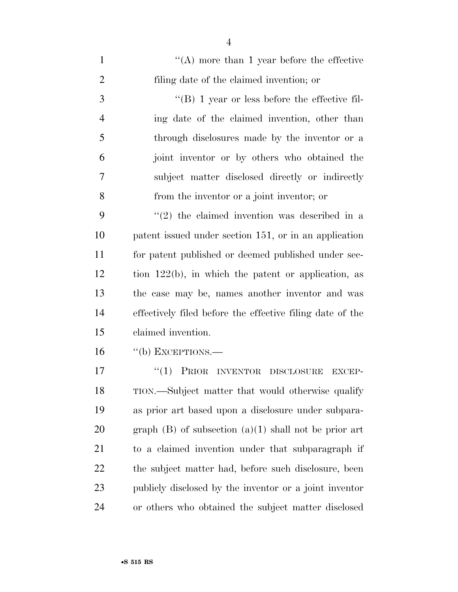| $\mathbf{1}$   | $\lq\lq$ more than 1 year before the effective                |
|----------------|---------------------------------------------------------------|
| $\overline{2}$ | filing date of the claimed invention; or                      |
| 3              | $\lq\lq (B)$ 1 year or less before the effective fil-         |
| $\overline{4}$ | ing date of the claimed invention, other than                 |
| 5              | through disclosures made by the inventor or a                 |
| 6              | joint inventor or by others who obtained the                  |
| 7              | subject matter disclosed directly or indirectly               |
| 8              | from the inventor or a joint inventor; or                     |
| 9              | $(2)$ the claimed invention was described in a                |
| 10             | patent issued under section 151, or in an application         |
| 11             | for patent published or deemed published under sec-           |
| 12             | tion $122(b)$ , in which the patent or application, as        |
| 13             | the case may be, names another inventor and was               |
| 14             | effectively filed before the effective filing date of the     |
| 15             | claimed invention.                                            |
| 16             | $\lq\lq(b)$ EXCEPTIONS.—                                      |
| 17             | ``(1)<br>PRIOR INVENTOR<br><b>DISCLOSURE</b><br><b>EXCEP-</b> |
| 18             | TION.—Subject matter that would otherwise qualify             |
| 19             | as prior art based upon a disclosure under subpara-           |
| 20             | graph $(B)$ of subsection $(a)(1)$ shall not be prior art     |
| 21             | to a claimed invention under that subparagraph if             |
| 22             | the subject matter had, before such disclosure, been          |
| 23             | publicly disclosed by the inventor or a joint inventor        |
| 24             | or others who obtained the subject matter disclosed           |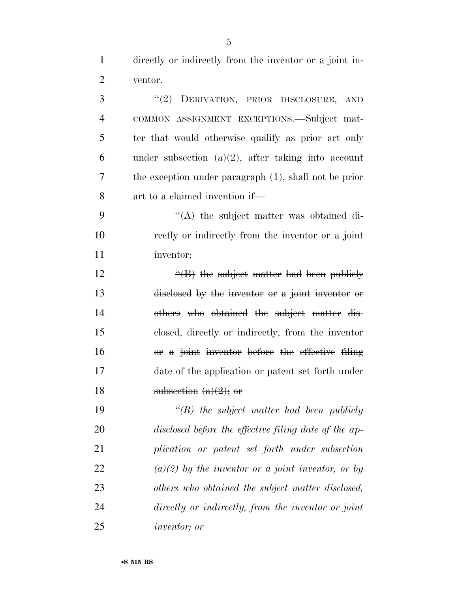directly or indirectly from the inventor or a joint in-ventor.

 ''(2) DERIVATION, PRIOR DISCLOSURE, AND COMMON ASSIGNMENT EXCEPTIONS.—Subject mat- ter that would otherwise qualify as prior art only under subsection (a)(2), after taking into account the exception under paragraph (1), shall not be prior art to a claimed invention if— ''(A) the subject matter was obtained di- rectly or indirectly from the inventor or a joint inventor;  $\frac{4}{16}$  the subject matter had been publicly disclosed by the inventor or a joint inventor or others who obtained the subject matter dis-

 closed, directly or indirectly, from the inventor or a joint inventor before the effective filing date of the application or patent set forth under 18 subsection  $(a)(2)$ ; or

 *''(B) the subject matter had been publicly disclosed before the effective filing date of the ap- plication or patent set forth under subsection (a)(2) by the inventor or a joint inventor, or by others who obtained the subject matter disclosed, directly or indirectly, from the inventor or joint inventor; or*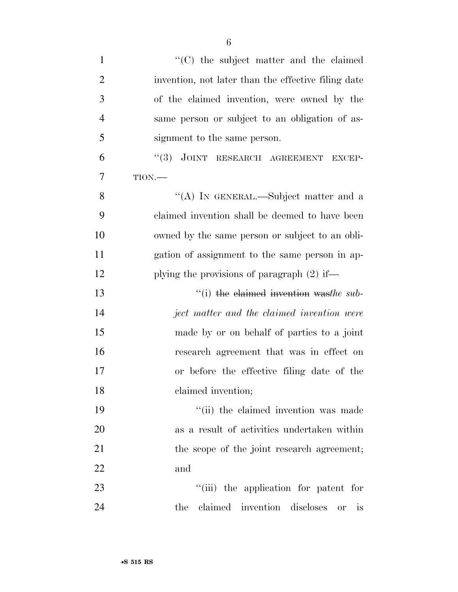| $\mathbf{1}$   | "(C) the subject matter and the claimed               |
|----------------|-------------------------------------------------------|
| $\overline{2}$ | invention, not later than the effective filing date   |
| 3              | of the claimed invention, were owned by the           |
| $\overline{4}$ | same person or subject to an obligation of as-        |
| 5              | signment to the same person.                          |
| 6              | "(3) JOINT RESEARCH AGREEMENT EXCEP-                  |
| 7              | TION.                                                 |
| 8              | "(A) IN GENERAL.—Subject matter and a                 |
| 9              | claimed invention shall be deemed to have been        |
| 10             | owned by the same person or subject to an obli-       |
| 11             | gation of assignment to the same person in ap-        |
| 12             | plying the provisions of paragraph $(2)$ if—          |
| 13             | "(i) the elaimed invention was the sub-               |
| 14             | ject matter and the claimed invention were            |
| 15             | made by or on behalf of parties to a joint            |
| 16             | research agreement that was in effect on              |
| 17             | or before the effective filing date of the            |
| 18             | claimed invention;                                    |
| 19             | "(ii) the claimed invention was made                  |
| 20             | as a result of activities undertaken within           |
| 21             | the scope of the joint research agreement;            |
| 22             | and                                                   |
| 23             | "(iii) the application for patent for                 |
| 24             | claimed invention discloses<br>the<br><i>is</i><br>or |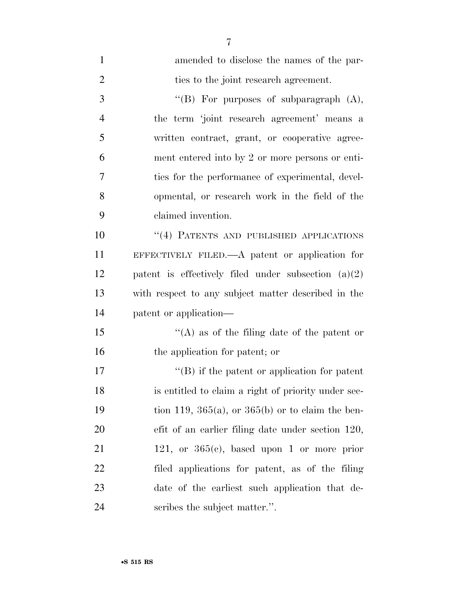| $\mathbf{1}$   | amended to disclose the names of the par-             |
|----------------|-------------------------------------------------------|
| $\overline{2}$ | ties to the joint research agreement.                 |
| 3              | "(B) For purposes of subparagraph $(A)$ ,             |
| $\overline{4}$ | the term 'joint research agreement' means a           |
| 5              | written contract, grant, or cooperative agree-        |
| 6              | ment entered into by 2 or more persons or enti-       |
| 7              | ties for the performance of experimental, devel-      |
| 8              | opmental, or research work in the field of the        |
| 9              | claimed invention.                                    |
| 10             | "(4) PATENTS AND PUBLISHED APPLICATIONS               |
| 11             | EFFECTIVELY FILED.— $A$ patent or application for     |
| 12             | patent is effectively filed under subsection $(a)(2)$ |
| 13             | with respect to any subject matter described in the   |
| 14             | patent or application—                                |
| 15             | "(A) as of the filing date of the patent or           |
| 16             | the application for patent; or                        |
| 17             | $\lq\lq (B)$ if the patent or application for patent  |
| 18             | is entitled to claim a right of priority under sec-   |
| 19             | tion 119, 365(a), or 365(b) or to claim the ben-      |
| 20             | efit of an earlier filing date under section 120,     |
| 21             | 121, or $365(e)$ , based upon 1 or more prior         |
| 22             | filed applications for patent, as of the filing       |
| 23             | date of the earliest such application that de-        |
| 24             | scribes the subject matter.".                         |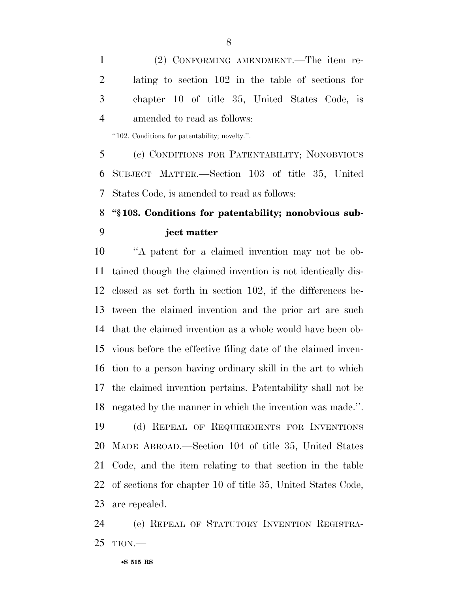(2) CONFORMING AMENDMENT.—The item re- lating to section 102 in the table of sections for chapter 10 of title 35, United States Code, is amended to read as follows:

''102. Conditions for patentability; novelty.''.

 (c) CONDITIONS FOR PATENTABILITY; NONOBVIOUS SUBJECT MATTER.—Section 103 of title 35, United States Code, is amended to read as follows:

# **''§ 103. Conditions for patentability; nonobvious sub-ject matter**

 ''A patent for a claimed invention may not be ob- tained though the claimed invention is not identically dis- closed as set forth in section 102, if the differences be- tween the claimed invention and the prior art are such that the claimed invention as a whole would have been ob- vious before the effective filing date of the claimed inven- tion to a person having ordinary skill in the art to which the claimed invention pertains. Patentability shall not be negated by the manner in which the invention was made.''. (d) REPEAL OF REQUIREMENTS FOR INVENTIONS MADE ABROAD.—Section 104 of title 35, United States Code, and the item relating to that section in the table of sections for chapter 10 of title 35, United States Code, are repealed.

 (e) REPEAL OF STATUTORY INVENTION REGISTRA-TION.—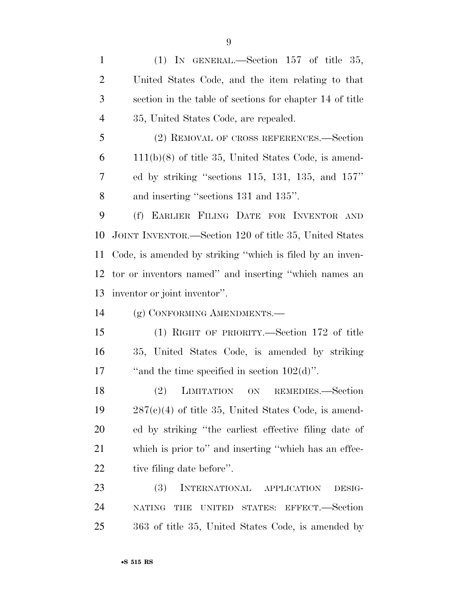(1) IN GENERAL.—Section 157 of title 35, United States Code, and the item relating to that section in the table of sections for chapter 14 of title 35, United States Code, are repealed.

 (2) REMOVAL OF CROSS REFERENCES.—Section 111(b)(8) of title 35, United States Code, is amend- ed by striking ''sections 115, 131, 135, and 157'' and inserting ''sections 131 and 135''.

 (f) EARLIER FILING DATE FOR INVENTOR AND JOINT INVENTOR.—Section 120 of title 35, United States Code, is amended by striking ''which is filed by an inven- tor or inventors named'' and inserting ''which names an inventor or joint inventor''.

(g) CONFORMING AMENDMENTS.—

 (1) RIGHT OF PRIORITY.—Section 172 of title 35, United States Code, is amended by striking 17 "and the time specified in section 102(d)".

 (2) LIMITATION ON REMEDIES.—Section  $287(e)(4)$  of title 35, United States Code, is amend- ed by striking ''the earliest effective filing date of which is prior to'' and inserting ''which has an effec-22 tive filing date before".

 (3) INTERNATIONAL APPLICATION DESIG- NATING THE UNITED STATES: EFFECT.—Section 363 of title 35, United States Code, is amended by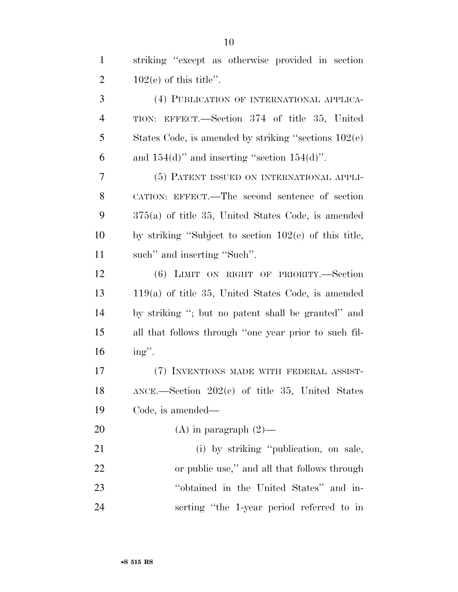striking ''except as otherwise provided in section  $102(e)$  of this title". (4) PUBLICATION OF INTERNATIONAL APPLICA- TION: EFFECT.—Section 374 of title 35, United States Code, is amended by striking ''sections 102(e) 6 and  $154(d)$ " and inserting "section  $154(d)$ ". (5) PATENT ISSUED ON INTERNATIONAL APPLI- CATION: EFFECT.—The second sentence of section 375(a) of title 35, United States Code, is amended by striking ''Subject to section 102(e) of this title, such'' and inserting ''Such''. (6) LIMIT ON RIGHT OF PRIORITY.—Section 119(a) of title 35, United States Code, is amended by striking ''; but no patent shall be granted'' and all that follows through ''one year prior to such fil- ing''. (7) INVENTIONS MADE WITH FEDERAL ASSIST- ANCE.—Section 202(c) of title 35, United States Code, is amended— 20 (A) in paragraph  $(2)$ — 21 (i) by striking "publication, on sale, or public use,'' and all that follows through ''obtained in the United States'' and in-serting ''the 1-year period referred to in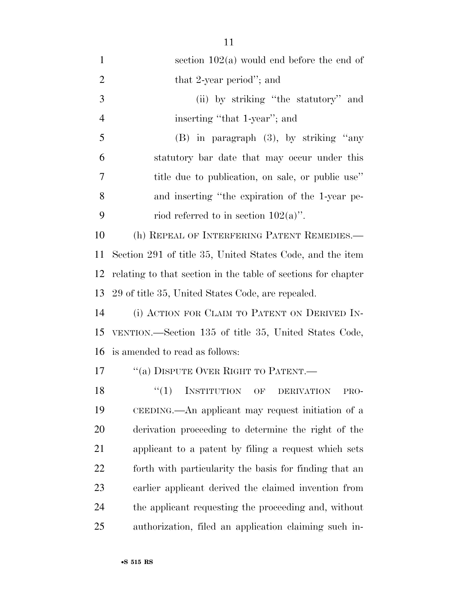| $\mathbf{1}$   | section $102(a)$ would end before the end of                   |
|----------------|----------------------------------------------------------------|
| $\overline{2}$ | that 2-year period"; and                                       |
| 3              | (ii) by striking "the statutory" and                           |
| $\overline{4}$ | inserting "that 1-year"; and                                   |
| 5              | $(B)$ in paragraph $(3)$ , by striking "any                    |
| 6              | statutory bar date that may occur under this                   |
| 7              | title due to publication, on sale, or public use"              |
| 8              | and inserting "the expiration of the 1-year pe-                |
| 9              | riod referred to in section $102(a)$ ".                        |
| 10             | (h) REPEAL OF INTERFERING PATENT REMEDIES.—                    |
| 11             | Section 291 of title 35, United States Code, and the item      |
| 12             | relating to that section in the table of sections for chapter  |
| 13             | 29 of title 35, United States Code, are repealed.              |
| 14             | (i) ACTION FOR CLAIM TO PATENT ON DERIVED IN-                  |
| 15             | VENTION.—Section 135 of title 35, United States Code,          |
|                | 16 is amended to read as follows:                              |
| 17             | "(a) DISPUTE OVER RIGHT TO PATENT.—                            |
| 18             | <b>INSTITUTION</b><br>``(1)<br>OF<br><b>DERIVATION</b><br>PRO- |
| 19             | CEEDING.—An applicant may request initiation of a              |
| 20             | derivation proceeding to determine the right of the            |
| 21             | applicant to a patent by filing a request which sets           |
| 22             | forth with particularity the basis for finding that an         |
| 23             | earlier applicant derived the claimed invention from           |
| 24             | the applicant requesting the proceeding and, without           |
| 25             | authorization, filed an application claiming such in-          |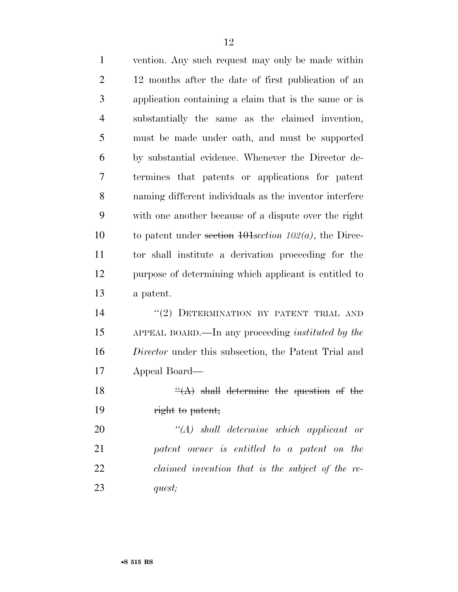| $\mathbf{1}$   | vention. Any such request may only be made within           |
|----------------|-------------------------------------------------------------|
| $\overline{2}$ | 12 months after the date of first publication of an         |
| 3              | application containing a claim that is the same or is       |
| $\overline{4}$ | substantially the same as the claimed invention,            |
| 5              | must be made under oath, and must be supported              |
| 6              | by substantial evidence. Whenever the Director de-          |
| 7              | termines that patents or applications for patent            |
| 8              | naming different individuals as the inventor interfere      |
| 9              | with one another because of a dispute over the right        |
| 10             | to patent under section $10\frac{1}{102}(a)$ , the Direc-   |
| 11             | tor shall institute a derivation proceeding for the         |
| 12             | purpose of determining which applicant is entitled to       |
| 13             | a patent.                                                   |
| 14             | "(2) DETERMINATION BY PATENT TRIAL AND                      |
| 15             | APPEAL BOARD.—In any proceeding <i>instituted by the</i>    |
| 16             | <i>Director</i> under this subsection, the Patent Trial and |
| 17             | Appeal Board—                                               |
| 18             | $\frac{d}{dx}(A)$ shall determine the question of the       |
| 19             | right to patent;                                            |
| 20             | $\lq (A)$ shall determine which applicant or                |
| 21             | patent owner is entitled to a patent on the                 |
| 22             | claimed invention that is the subject of the re-            |
| 23             | quest;                                                      |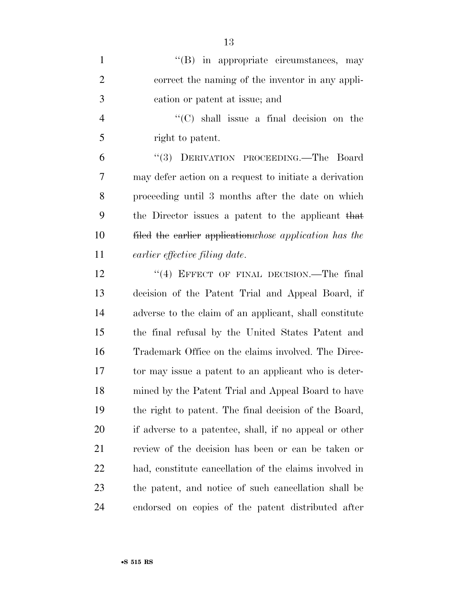| $\mathbf{1}$   | $\lq\lq$ (B) in appropriate circumstances, may          |
|----------------|---------------------------------------------------------|
| $\overline{2}$ | correct the naming of the inventor in any appli-        |
| 3              | cation or patent at issue; and                          |
| $\overline{4}$ | $\lq\lq$ (C) shall issue a final decision on the        |
| 5              | right to patent.                                        |
| 6              | "(3) DERIVATION PROCEEDING.—The Board                   |
| 7              | may defer action on a request to initiate a derivation  |
| 8              | proceeding until 3 months after the date on which       |
| 9              | the Director issues a patent to the applicant that      |
| 10             | filed the earlier application whose application has the |
| 11             | earlier effective filing date.                          |
| 12             | "(4) EFFECT OF FINAL DECISION.—The final                |
| 13             | decision of the Patent Trial and Appeal Board, if       |
| 14             | adverse to the claim of an applicant, shall constitute  |
| 15             | the final refusal by the United States Patent and       |
| 16             | Trademark Office on the claims involved. The Direc-     |
| 17             | tor may issue a patent to an applicant who is deter-    |
| 18             | mined by the Patent Trial and Appeal Board to have      |
| 19             | the right to patent. The final decision of the Board,   |
| 20             | if adverse to a patentee, shall, if no appeal or other  |
| 21             | review of the decision has been or can be taken or      |
| 22             | had, constitute cancellation of the claims involved in  |
| 23             | the patent, and notice of such cancellation shall be    |
| 24             | endorsed on copies of the patent distributed after      |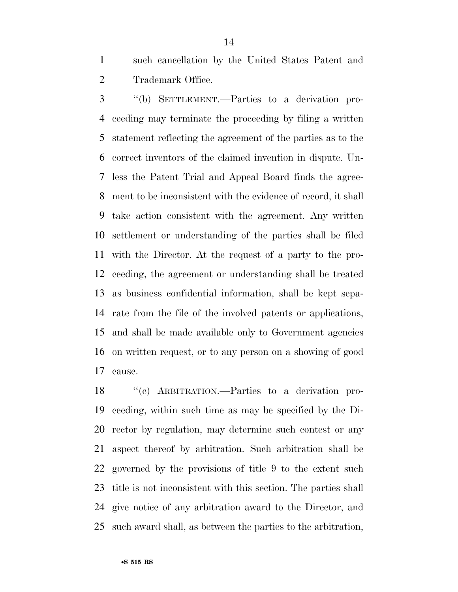such cancellation by the United States Patent and Trademark Office.

 ''(b) SETTLEMENT.—Parties to a derivation pro- ceeding may terminate the proceeding by filing a written statement reflecting the agreement of the parties as to the correct inventors of the claimed invention in dispute. Un- less the Patent Trial and Appeal Board finds the agree- ment to be inconsistent with the evidence of record, it shall take action consistent with the agreement. Any written settlement or understanding of the parties shall be filed with the Director. At the request of a party to the pro- ceeding, the agreement or understanding shall be treated as business confidential information, shall be kept sepa- rate from the file of the involved patents or applications, and shall be made available only to Government agencies on written request, or to any person on a showing of good cause.

 ''(c) ARBITRATION.—Parties to a derivation pro- ceeding, within such time as may be specified by the Di- rector by regulation, may determine such contest or any aspect thereof by arbitration. Such arbitration shall be governed by the provisions of title 9 to the extent such title is not inconsistent with this section. The parties shall give notice of any arbitration award to the Director, and such award shall, as between the parties to the arbitration,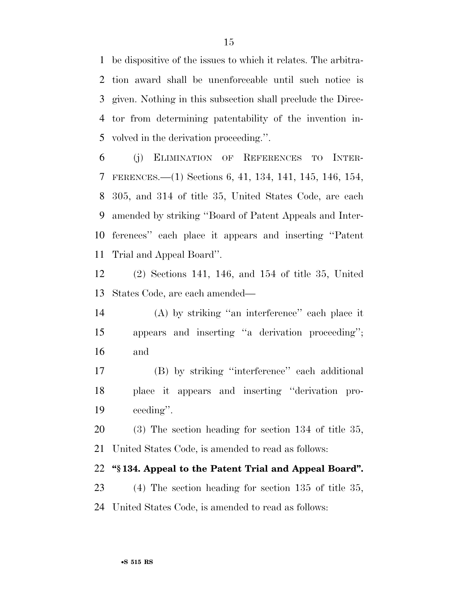be dispositive of the issues to which it relates. The arbitra- tion award shall be unenforceable until such notice is given. Nothing in this subsection shall preclude the Direc- tor from determining patentability of the invention in-volved in the derivation proceeding.''.

 (j) ELIMINATION OF REFERENCES TO INTER- FERENCES.—(1) Sections 6, 41, 134, 141, 145, 146, 154, 305, and 314 of title 35, United States Code, are each amended by striking ''Board of Patent Appeals and Inter- ferences'' each place it appears and inserting ''Patent Trial and Appeal Board''.

 (2) Sections 141, 146, and 154 of title 35, United States Code, are each amended—

 (A) by striking ''an interference'' each place it appears and inserting ''a derivation proceeding''; and

 (B) by striking ''interference'' each additional place it appears and inserting ''derivation pro-ceeding''.

 (3) The section heading for section 134 of title 35, United States Code, is amended to read as follows:

# **''§ 134. Appeal to the Patent Trial and Appeal Board''.**

 (4) The section heading for section 135 of title 35, United States Code, is amended to read as follows: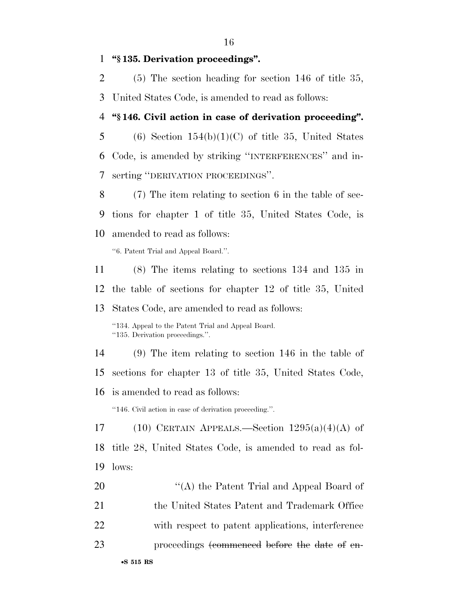**''§ 135. Derivation proceedings''.** 

- (5) The section heading for section 146 of title 35, United States Code, is amended to read as follows:
- **''§ 146. Civil action in case of derivation proceeding''.**
- 5 (6) Section  $154(b)(1)(C)$  of title 35, United States Code, is amended by striking ''INTERFERENCES'' and in-serting ''DERIVATION PROCEEDINGS''.
- (7) The item relating to section 6 in the table of sec- tions for chapter 1 of title 35, United States Code, is amended to read as follows:

''6. Patent Trial and Appeal Board.''.

 (8) The items relating to sections 134 and 135 in the table of sections for chapter 12 of title 35, United States Code, are amended to read as follows: ''134. Appeal to the Patent Trial and Appeal Board. ''135. Derivation proceedings.''. (9) The item relating to section 146 in the table of sections for chapter 13 of title 35, United States Code, is amended to read as follows: ''146. Civil action in case of derivation proceeding.''. 17 (10) CERTAIN APPEALS.—Section  $1295(a)(4)(A)$  of title 28, United States Code, is amended to read as fol- lows: 20 "'(A) the Patent Trial and Appeal Board of the United States Patent and Trademark Office with respect to patent applications, interference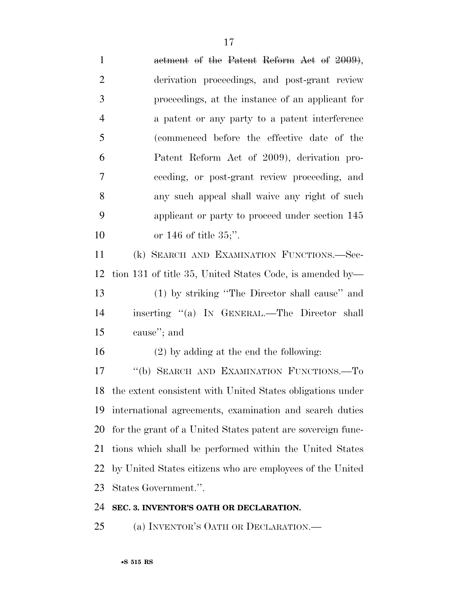| $\mathbf{1}$   | actment of the Patent Reform Act of 2009),                    |
|----------------|---------------------------------------------------------------|
| $\overline{2}$ | derivation proceedings, and post-grant review                 |
| 3              | proceedings, at the instance of an applicant for              |
| $\overline{4}$ | a patent or any party to a patent interference                |
| 5              | (commenced before the effective date of the                   |
| 6              | Patent Reform Act of 2009), derivation pro-                   |
| $\overline{7}$ | ceeding, or post-grant review proceeding, and                 |
| 8              | any such appeal shall waive any right of such                 |
| 9              | applicant or party to proceed under section 145               |
| 10             | or $146$ of title $35$ ;".                                    |
| 11             | (k) SEARCH AND EXAMINATION FUNCTIONS.-Sec-                    |
| 12             | tion 131 of title 35, United States Code, is amended by—      |
| 13             | (1) by striking "The Director shall cause" and                |
| 14             | inserting "(a) IN GENERAL.—The Director shall                 |
| 15             | cause"; and                                                   |
| 16             | $(2)$ by adding at the end the following:                     |
| 17             | "(b) SEARCH AND EXAMINATION FUNCTIONS.-To                     |
|                | 18 the extent consistent with United States obligations under |
| 19             | international agreements, examination and search duties       |
| 20             | for the grant of a United States patent are sovereign func-   |
| 21             | tions which shall be performed within the United States       |
| 22             | by United States citizens who are employees of the United     |
| 23             | States Government.".                                          |
| 24             | SEC. 3. INVENTOR'S OATH OR DECLARATION.                       |

(a) INVENTOR'S OATH OR DECLARATION.—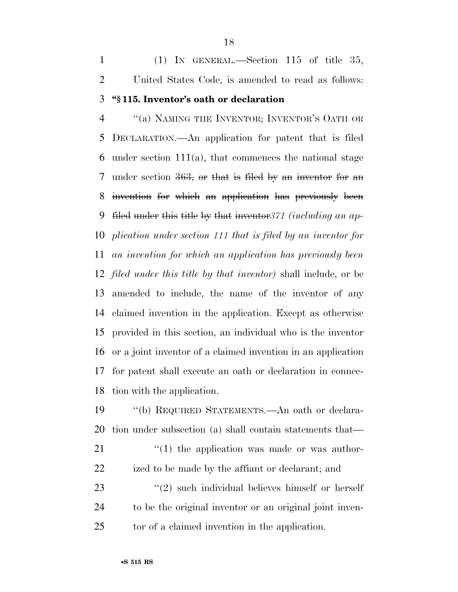(1) IN GENERAL.—Section 115 of title 35, United States Code, is amended to read as follows: **''§ 115. Inventor's oath or declaration** 

 ''(a) NAMING THE INVENTOR; INVENTOR'S OATH OR DECLARATION.—An application for patent that is filed under section 111(a), that commences the national stage under section 363, or that is filed by an inventor for an invention for which an application has previously been filed under this title by that inventor*371 (including an ap- plication under section 111 that is filed by an inventor for an invention for which an application has previously been filed under this title by that inventor)* shall include, or be amended to include, the name of the inventor of any claimed invention in the application. Except as otherwise provided in this section, an individual who is the inventor or a joint inventor of a claimed invention in an application for patent shall execute an oath or declaration in connec-tion with the application.

 ''(b) REQUIRED STATEMENTS.—An oath or declara-tion under subsection (a) shall contain statements that—

  $\qquad$   $\qquad$   $\qquad$   $\qquad$   $\qquad$   $\qquad$   $\qquad$   $\qquad$   $\qquad$   $\qquad$   $\qquad$   $\qquad$   $\qquad$   $\qquad$   $\qquad$   $\qquad$   $\qquad$   $\qquad$   $\qquad$   $\qquad$   $\qquad$   $\qquad$   $\qquad$   $\qquad$   $\qquad$   $\qquad$   $\qquad$   $\qquad$   $\qquad$   $\qquad$   $\qquad$   $\qquad$   $\qquad$   $\qquad$   $\qquad$   $\qquad$  ized to be made by the affiant or declarant; and

23 ''(2) such individual believes himself or herself to be the original inventor or an original joint inven-tor of a claimed invention in the application.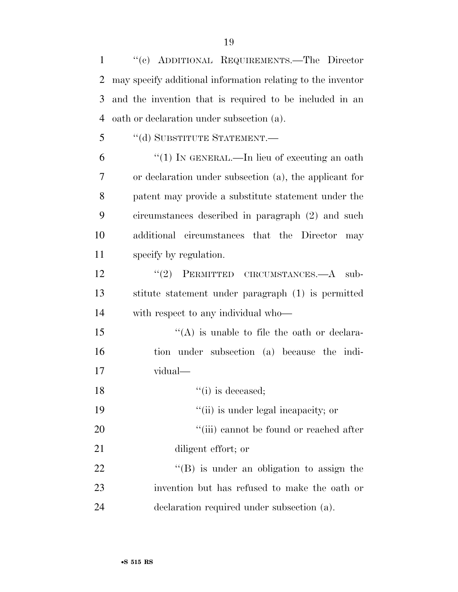''(c) ADDITIONAL REQUIREMENTS.—The Director may specify additional information relating to the inventor and the invention that is required to be included in an oath or declaration under subsection (a).

''(d) SUBSTITUTE STATEMENT.—

 ''(1) IN GENERAL.—In lieu of executing an oath or declaration under subsection (a), the applicant for patent may provide a substitute statement under the circumstances described in paragraph (2) and such additional circumstances that the Director may specify by regulation.

12 "(2) PERMITTED CIRCUMSTANCES.—A sub- stitute statement under paragraph (1) is permitted with respect to any individual who—

 $i'(A)$  is unable to file the oath or declara- tion under subsection (a) because the indi-vidual—

18 ''(i) is deceased;

19  $\frac{1}{10}$  is under legal incapacity; or

20  $\frac{1}{20}$  (iii) cannot be found or reached after

diligent effort; or

22 ''(B) is under an obligation to assign the invention but has refused to make the oath or declaration required under subsection (a).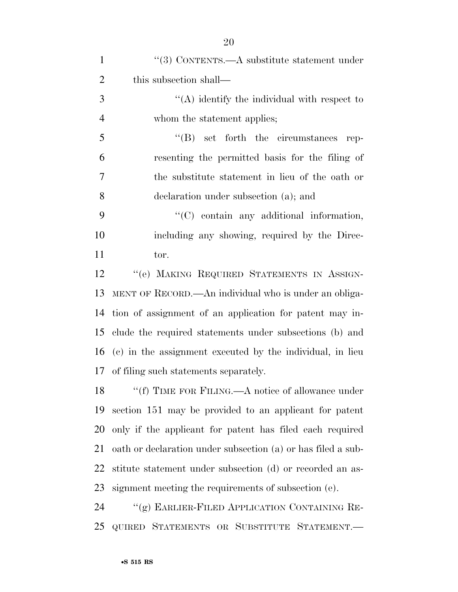| $\mathbf{1}$   | "(3) CONTENTS.—A substitute statement under                  |
|----------------|--------------------------------------------------------------|
| $\overline{2}$ | this subsection shall—                                       |
| 3              | $\lq\lq$ identify the individual with respect to             |
| $\overline{4}$ | whom the statement applies;                                  |
| 5              | $\lq\lq(B)$ set forth the circumstances rep-                 |
| 6              | resenting the permitted basis for the filing of              |
| 7              | the substitute statement in lieu of the oath or              |
| 8              | declaration under subsection (a); and                        |
| 9              | $\lq\lq$ contain any additional information,                 |
| 10             | including any showing, required by the Direc-                |
| 11             | tor.                                                         |
| 12             | "(e) MAKING REQUIRED STATEMENTS IN ASSIGN-                   |
| 13             | MENT OF RECORD.—An individual who is under an obliga-        |
| 14             | tion of assignment of an application for patent may in-      |
| 15             | clude the required statements under subsections (b) and      |
| 16             | (c) in the assignment executed by the individual, in lieu    |
|                | 17 of filing such statements separately.                     |
|                | 18 "(f) TIME FOR FILING.—A notice of allowance under         |
| 19             | section 151 may be provided to an applicant for patent       |
| 20             | only if the applicant for patent has filed each required     |
| 21             | oath or declaration under subsection (a) or has filed a sub- |
| 22             | stitute statement under subsection (d) or recorded an as-    |
| 23             | signment meeting the requirements of subsection (e).         |
| 24             | "(g) EARLIER-FILED APPLICATION CONTAINING RE-                |
| 25             | QUIRED STATEMENTS OR SUBSTITUTE STATEMENT.                   |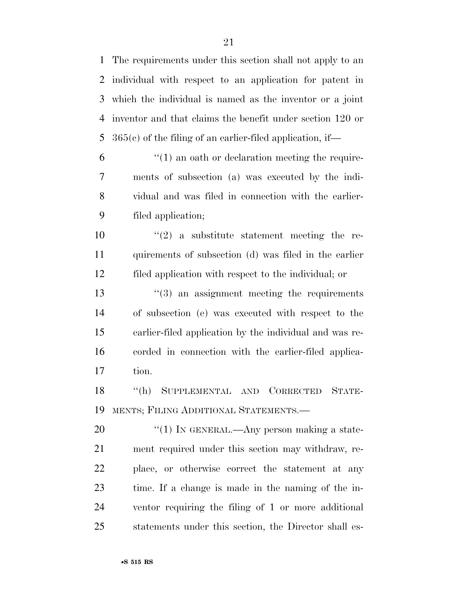The requirements under this section shall not apply to an individual with respect to an application for patent in which the individual is named as the inventor or a joint inventor and that claims the benefit under section 120 or 365(c) of the filing of an earlier-filed application, if—

 $\mathfrak{h}$   $\mathfrak{t}'(1)$  an oath or declaration meeting the require- ments of subsection (a) was executed by the indi- vidual and was filed in connection with the earlier-filed application;

10  $\frac{1}{2}$  a substitute statement meeting the re- quirements of subsection (d) was filed in the earlier filed application with respect to the individual; or

 $\frac{13}{2}$  an assignment meeting the requirements of subsection (e) was executed with respect to the earlier-filed application by the individual and was re- corded in connection with the earlier-filed applica-tion.

 ''(h) SUPPLEMENTAL AND CORRECTED STATE-MENTS; FILING ADDITIONAL STATEMENTS.—

20 "(1) IN GENERAL.—Any person making a state- ment required under this section may withdraw, re- place, or otherwise correct the statement at any time. If a change is made in the naming of the in- ventor requiring the filing of 1 or more additional statements under this section, the Director shall es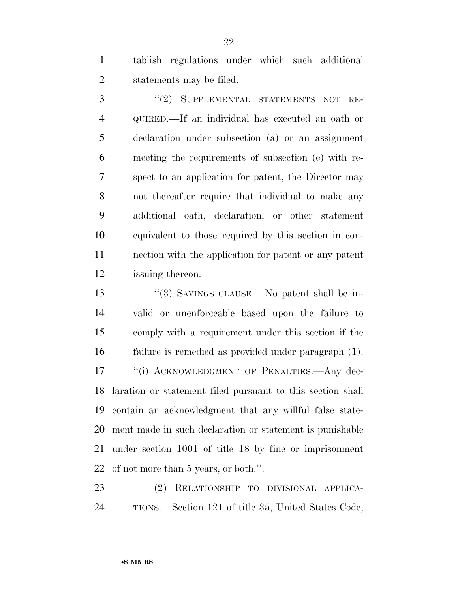tablish regulations under which such additional statements may be filed.

3 "(2) SUPPLEMENTAL STATEMENTS NOT RE- QUIRED.—If an individual has executed an oath or declaration under subsection (a) or an assignment meeting the requirements of subsection (e) with re- spect to an application for patent, the Director may not thereafter require that individual to make any additional oath, declaration, or other statement equivalent to those required by this section in con- nection with the application for patent or any patent issuing thereon.

 ''(3) SAVINGS CLAUSE.—No patent shall be in- valid or unenforceable based upon the failure to comply with a requirement under this section if the failure is remedied as provided under paragraph (1). 17 "(i) ACKNOWLEDGMENT OF PENALTIES.—Any dec- laration or statement filed pursuant to this section shall contain an acknowledgment that any willful false state- ment made in such declaration or statement is punishable under section 1001 of title 18 by fine or imprisonment of not more than 5 years, or both.''.

 (2) RELATIONSHIP TO DIVISIONAL APPLICA-TIONS.—Section 121 of title 35, United States Code,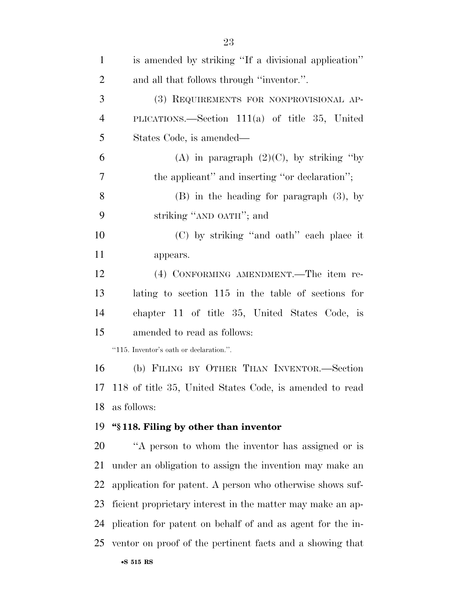| $\mathbf{1}$   | is amended by striking "If a divisional application"         |
|----------------|--------------------------------------------------------------|
| $\overline{2}$ | and all that follows through "inventor.".                    |
| 3              | (3) REQUIREMENTS FOR NONPROVISIONAL AP-                      |
| $\overline{4}$ | PLICATIONS.—Section $111(a)$ of title 35, United             |
| 5              | States Code, is amended—                                     |
| 6              | (A) in paragraph $(2)(C)$ , by striking "by                  |
| 7              | the applicant" and inserting "or declaration";               |
| 8              | $(B)$ in the heading for paragraph $(3)$ , by                |
| 9              | striking "AND OATH"; and                                     |
| 10             | (C) by striking "and oath" each place it                     |
| 11             | appears.                                                     |
| 12             | (4) CONFORMING AMENDMENT.—The item re-                       |
| 13             | lating to section 115 in the table of sections for           |
| 14             | chapter 11 of title 35, United States Code, is               |
| 15             | amended to read as follows:                                  |
|                | "115. Inventor's oath or declaration.".                      |
| 16             | (b) FILING BY OTHER THAN INVENTOR.-Section                   |
| 17             | 118 of title 35, United States Code, is amended to read      |
| 18             | as follows:                                                  |
| 19             | "\\$118. Filing by other than inventor                       |
| 20             | "A person to whom the inventor has assigned or is            |
| 21             | under an obligation to assign the invention may make an      |
| 22             | application for patent. A person who otherwise shows suf-    |
| 23             | ficient proprietary interest in the matter may make an ap-   |
| 24             | plication for patent on behalf of and as agent for the in-   |
|                | 25 ventor on proof of the pertinent facts and a showing that |
|                |                                                              |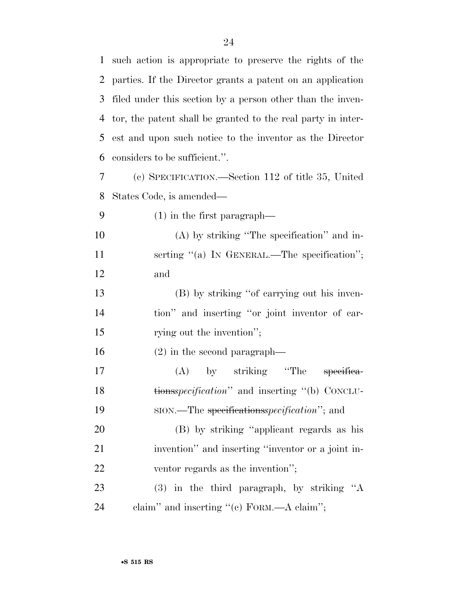| $\mathbf{1}$ | such action is appropriate to preserve the rights of the     |
|--------------|--------------------------------------------------------------|
| 2            | parties. If the Director grants a patent on an application   |
| 3            | filed under this section by a person other than the inven-   |
| 4            | tor, the patent shall be granted to the real party in inter- |
| 5            | est and upon such notice to the inventor as the Director     |
| 6            | considers to be sufficient.".                                |
| 7            | (c) SPECIFICATION.—Section 112 of title 35, United           |
| 8            | States Code, is amended—                                     |
| 9            | $(1)$ in the first paragraph—                                |
| 10           | $(A)$ by striking "The specification" and in-                |
| 11           | serting "(a) IN GENERAL.—The specification";                 |
| 12           | and                                                          |
| 13           | (B) by striking "of carrying out his inven-                  |
| 14           | tion" and inserting "or joint inventor of car-               |
| 15           | rying out the invention";                                    |
| 16           | $(2)$ in the second paragraph—                               |
| 17           | by striking "The<br>(A)<br>specifica-                        |
| 18           | tionsspecification" and inserting "(b) CONCLU-               |
| 19           | sion.—The specifications <i>specification</i> "; and         |
| 20           | (B) by striking "applicant regards as his                    |
| 21           | invention" and inserting "inventor or a joint in-            |
| 22           | ventor regards as the invention";                            |
| 23           | $(3)$ in the third paragraph, by striking "A                 |
| 24           | claim" and inserting " $(c)$ FORM.—A claim";                 |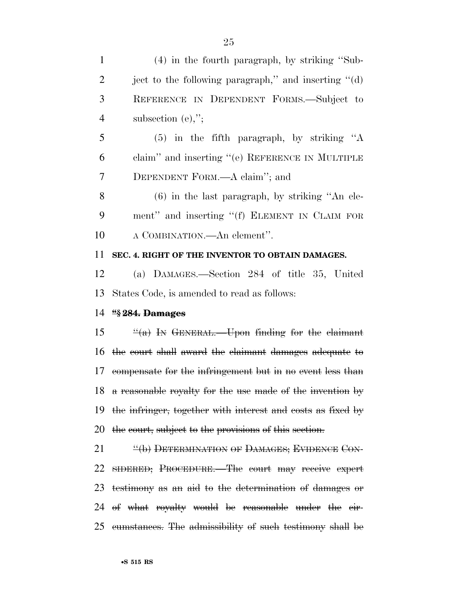subsection (e),'';

 (5) in the fifth paragraph, by striking ''A claim'' and inserting ''(e) REFERENCE IN MULTIPLE DEPENDENT FORM.—A claim''; and

 (6) in the last paragraph, by striking ''An ele- ment'' and inserting ''(f) ELEMENT IN CLAIM FOR A COMBINATION.—An element''.

### **SEC. 4. RIGHT OF THE INVENTOR TO OBTAIN DAMAGES.**

 (a) DAMAGES.—Section 284 of title 35, United States Code, is amended to read as follows:

### **''§ 284. Damages**

 ''(a) In GENERAL.—Upon finding for the claimant the court shall award the claimant damages adequate to compensate for the infringement but in no event less than a reasonable royalty for the use made of the invention by the infringer, together with interest and costs as fixed by 20 the court, subject to the provisions of this section.

**''(b) DETERMINATION OF DAMAGES; EVIDENCE CON-** SIDERED; PROCEDURE.—The court may receive expert testimony as an aid to the determination of damages or of what royalty would be reasonable under the cir-cumstances. The admissibility of such testimony shall be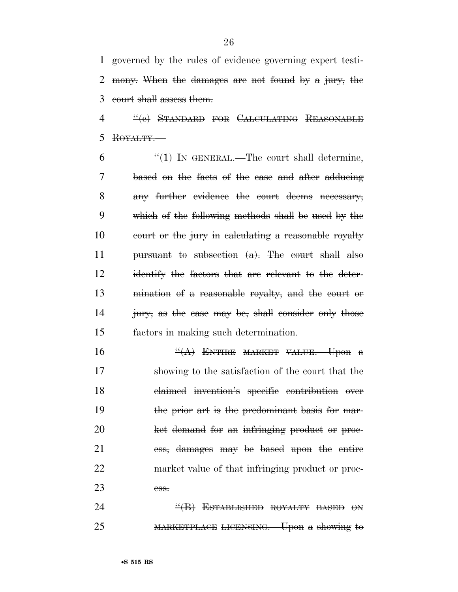governed by the rules of evidence governing expert testi- mony. When the damages are not found by a jury, the court shall assess them.

4 "(e) STANDARD FOR CALCULATING REASONABLE ROYALTY.—

 $6 \frac{((1)}{1}$  In GENERAL. The court shall determine, based on the facts of the case and after adducing any further evidence the court deems necessary, which of the following methods shall be used by the court or the jury in calculating a reasonable royalty pursuant to subsection (a). The court shall also identify the factors that are relevant to the deter- mination of a reasonable royalty, and the court or 14 jury, as the case may be, shall consider only those factors in making such determination.

 ''(A) ENTIRE MARKET VALUE.—Upon a showing to the satisfaction of the court that the claimed invention's specific contribution over 19 the prior art is the predominant basis for mar- ket demand for an infringing product or proc- ess, damages may be based upon the entire market value of that infringing product or proc-ess.

24 ''(B) ESTABLISHED ROYALTY BASED ON MARKETPLACE LICENSING.—Upon a showing to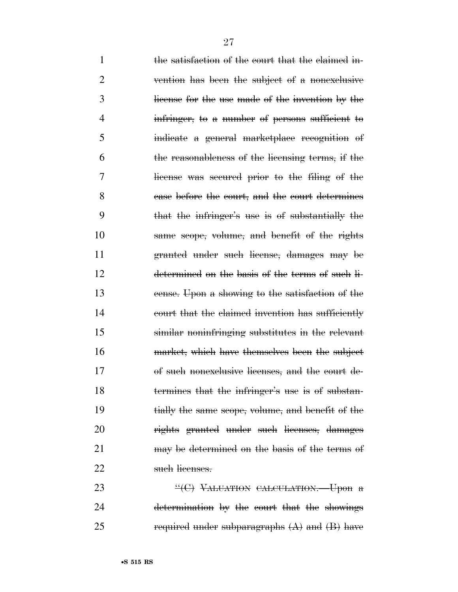| $\mathbf{1}$   | the satisfaction of the court that the claimed in-          |
|----------------|-------------------------------------------------------------|
| $\overline{2}$ | vention has been the subject of a nonexclusive              |
| 3              | license for the use made of the invention by the            |
| $\overline{4}$ | infringer, to a number of persons sufficient to             |
| 5              | indicate a general marketplace recognition of               |
| 6              | the reasonableness of the licensing terms, if the           |
| 7              | license was secured prior to the filing of the              |
| 8              | ease before the court, and the court determines             |
| 9              | that the infringer's use is of substantially the            |
| 10             | same scope, volume, and benefit of the rights               |
| 11             | granted under such license, damages may be                  |
| 12             | determined on the basis of the terms of such li-            |
| 13             | eense. Upon a showing to the satisfaction of the            |
| 14             | court that the claimed invention has sufficiently           |
| 15             | similar noninfringing substitutes in the relevant           |
| 16             | market, which have themselves been the subject              |
| 17             | of such nonexclusive licenses, and the court de-            |
| 18             | termines that the infringer's use is of substan-            |
| 19             | tially the same scope, volume, and benefit of the           |
| 20             | rights granted under such licenses, damages                 |
| 21             | may be determined on the basis of the terms of              |
| 22             | such licenses.                                              |
| າາ             | $\mathcal{H}(\cap)$ V <sub>AL</sub> HARIOV GALGULARIOV Upon |

23 "<sup>"</sup>(C) VALUATION CALCULATION. Upon a determination by the court that the showings 25 required under subparagraphs  $(A)$  and  $(B)$  have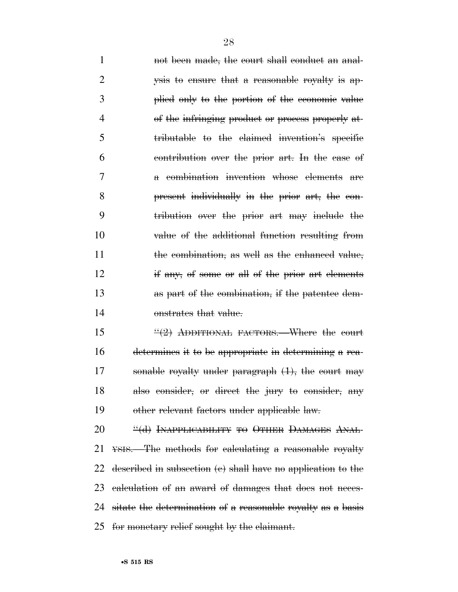1 not been made, the court shall conduct an anal- ysis to ensure that a reasonable royalty is ap- plied only to the portion of the economic value 4 of the infringing product or process properly at- tributable to the claimed invention's specific contribution over the prior art. In the case of a combination invention whose elements are present individually in the prior art, the con- tribution over the prior art may include the value of the additional function resulting from 11 the combination, as well as the enhanced value, if any, of some or all of the prior art elements as part of the combination, if the patentee dem-onstrates that value.

 $\frac{4(2)}{2}$  ADDITIONAL FACTORS. Where the court determines it to be appropriate in determining a rea- sonable royalty under paragraph (1), the court may also consider, or direct the jury to consider, any other relevant factors under applicable law.

**''(d) INAPPLICABILITY TO OTHER DAMAGES ANAL-** YSIS.—The methods for calculating a reasonable royalty described in subsection (c) shall have no application to the calculation of an award of damages that does not neces- sitate the determination of a reasonable royalty as a basis for monetary relief sought by the claimant.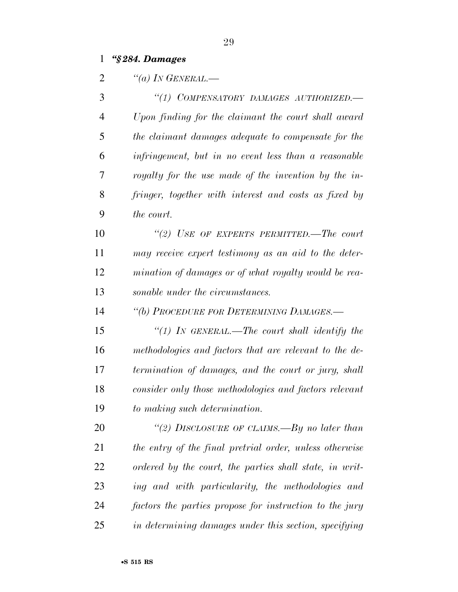# *''§ 284. Damages*

| $\overline{2}$ | "(a) IN GENERAL.—                                       |
|----------------|---------------------------------------------------------|
| 3              | "(1) COMPENSATORY DAMAGES AUTHORIZED.-                  |
| $\overline{4}$ | Upon finding for the claimant the court shall award     |
| 5              | the claimant damages adequate to compensate for the     |
| 6              | infringement, but in no event less than a reasonable    |
| 7              | royalty for the use made of the invention by the in-    |
| 8              | fringer, together with interest and costs as fixed by   |
| 9              | the court.                                              |
| 10             | "(2) USE OF EXPERTS PERMITTED.—The court                |
| 11             | may receive expert testimony as an aid to the deter-    |
| 12             | mination of damages or of what royalty would be rea-    |
| 13             | sonable under the circumstances.                        |
| 14             | "(b) PROCEDURE FOR DETERMINING DAMAGES.-                |
| 15             | "(1) In GENERAL.—The court shall identify the           |
| 16             | methodologies and factors that are relevant to the de-  |
| 17             | termination of damages, and the court or jury, shall    |
| 18             | consider only those methodologies and factors relevant  |
| 19             | to making such determination.                           |
| 20             | "(2) DISCLOSURE OF CLAIMS.—By no later than             |
| 21             | the entry of the final pretrial order, unless otherwise |
| 22             | ordered by the court, the parties shall state, in writ- |
| 23             | ing and with particularity, the methodologies and       |
| 24             | factors the parties propose for instruction to the jury |
| 25             | in determining damages under this section, specifying   |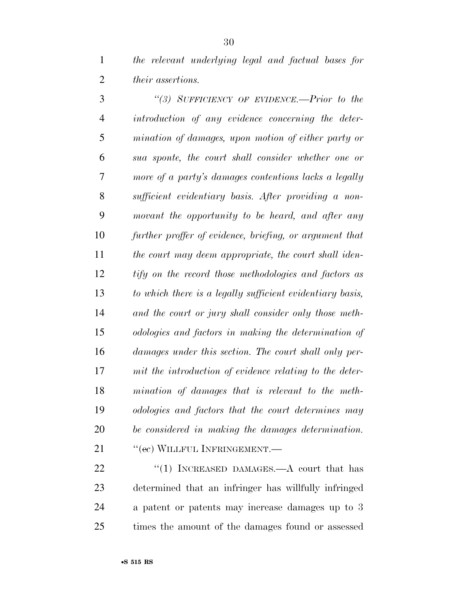*the relevant underlying legal and factual bases for their assertions.* 

 *''(3) SUFFICIENCY OF EVIDENCE.—Prior to the introduction of any evidence concerning the deter- mination of damages, upon motion of either party or sua sponte, the court shall consider whether one or more of a party's damages contentions lacks a legally sufficient evidentiary basis. After providing a non- movant the opportunity to be heard, and after any further proffer of evidence, briefing, or argument that the court may deem appropriate, the court shall iden- tify on the record those methodologies and factors as to which there is a legally sufficient evidentiary basis, and the court or jury shall consider only those meth- odologies and factors in making the determination of damages under this section. The court shall only per- mit the introduction of evidence relating to the deter- mination of damages that is relevant to the meth- odologies and factors that the court determines may be considered in making the damages determination.*  21 <sup>''</sup>(ec) WILLFUL INFRINGEMENT.

22 "(1) INCREASED DAMAGES.—A court that has determined that an infringer has willfully infringed a patent or patents may increase damages up to 3 times the amount of the damages found or assessed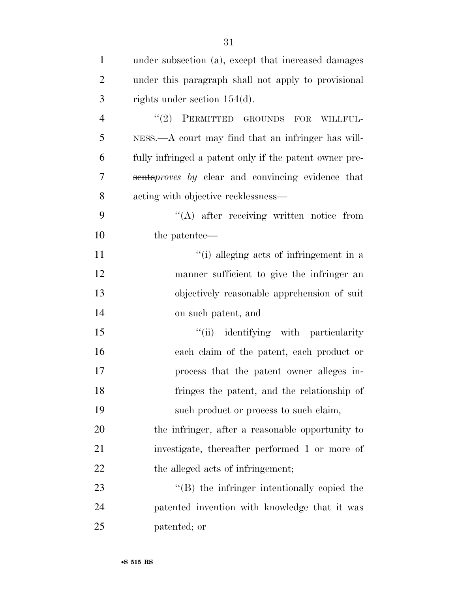| $\mathbf{1}$   | under subsection (a), except that increased damages    |
|----------------|--------------------------------------------------------|
| $\overline{2}$ | under this paragraph shall not apply to provisional    |
| 3              | rights under section $154(d)$ .                        |
| $\overline{4}$ | $"(2)$ PERMITTED GROUNDS FOR<br>WILLFUL-               |
| 5              | NESS.—A court may find that an infringer has will-     |
| 6              | fully infringed a patent only if the patent owner pre- |
| 7              | sentsproves by clear and convincing evidence that      |
| 8              | acting with objective recklessness—                    |
| 9              | "(A) after receiving written notice from               |
| 10             | the patentee—                                          |
| 11             | "(i) alleging acts of infringement in a                |
| 12             | manner sufficient to give the infringer an             |
| 13             | objectively reasonable apprehension of suit            |
| 14             | on such patent, and                                    |
| 15             | "(ii) identifying with particularity                   |
| 16             | each claim of the patent, each product or              |
| 17             | process that the patent owner alleges in-              |
| 18             | fringes the patent, and the relationship of            |
| 19             | such product or process to such claim,                 |
| 20             | the infringer, after a reasonable opportunity to       |
| 21             | investigate, thereafter performed 1 or more of         |
| 22             | the alleged acts of infringement;                      |
| 23             | $\lq\lq$ the infringer intentionally copied the        |
| 24             | patented invention with knowledge that it was          |
| $25\,$         | patented; or                                           |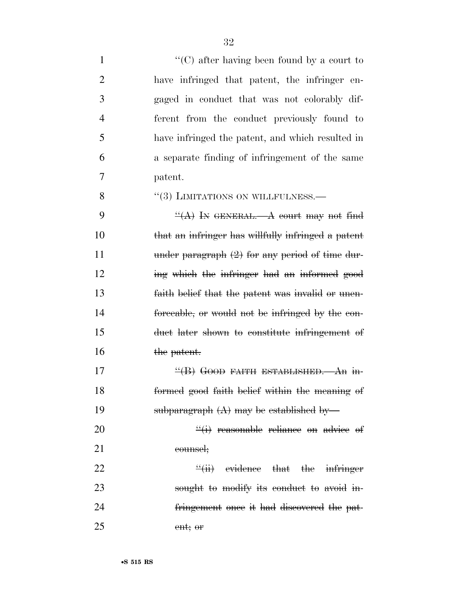1 ''(C) after having been found by a court to have infringed that patent, the infringer en- gaged in conduct that was not colorably dif- ferent from the conduct previously found to have infringed the patent, and which resulted in a separate finding of infringement of the same 7 patent.

8 "(3) LIMITATIONS ON WILLFULNESS.

 $\frac{H(A)}{N}$  In GENERAL. A court may not find that an infringer has willfully infringed a patent 11 under paragraph  $(2)$  for any period of time dur-12 ing which the infringer had an informed good faith belief that the patent was invalid or unen- forceable, or would not be infringed by the con- duct later shown to constitute infringement of 16 the patent.

17 ''(B) GOOD FAITH ESTABLISHED.—An in-18 formed good faith belief within the meaning of 19 subparagraph  $(A)$  may be established by-

 $20$   $\frac{``(i)}{''}$  reasonable reliance on advice of 21 counsel;

 $22$  ''(ii) evidence that the infringer 23 sought to modify its conduct to avoid in-24 fringement once it had discovered the pat-25 ent; or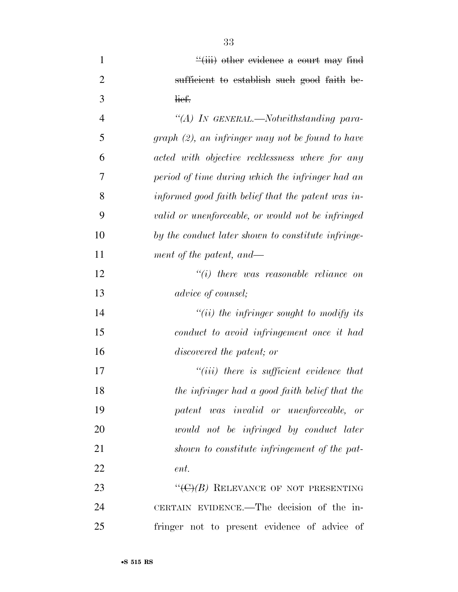| $\mathbf{1}$   | $\frac{1}{2}$ (iii) other evidence a court may find |
|----------------|-----------------------------------------------------|
| $\overline{2}$ | sufficient to establish such good faith be-         |
| 3              | lief.                                               |
| $\overline{4}$ | "(A) In GENERAL.—Notwithstanding para-              |
| 5              | $graph (2)$ , an infringer may not be found to have |
| 6              | acted with objective recklessness where for any     |
| 7              | period of time during which the infringer had an    |
| 8              | informed good faith belief that the patent was in-  |
| 9              | valid or unenforceable, or would not be infringed   |
| 10             | by the conduct later shown to constitute infringe-  |
| 11             | ment of the patent, and—                            |
| 12             | $``(i)$ there was reasonable reliance on            |
| 13             | advice of counsel;                                  |
| 14             | $``(ii)$ the infringer sought to modify its         |
| 15             | conduct to avoid infringement once it had           |
| 16             | discovered the patent; or                           |
| 17             | $``(iii)$ there is sufficient evidence that         |
| 18             | the infringer had a good faith belief that the      |
| 19             | patent was invalid or unenforceable, or             |
| 20             | would not be infringed by conduct later             |
| 21             | shown to constitute infringement of the pat-        |
| 22             | ent.                                                |
| 23             | " $(\Theta)$ (B) RELEVANCE OF NOT PRESENTING        |
| 24             | CERTAIN EVIDENCE.—The decision of the in-           |
| 25             | fringer not to present evidence of advice of        |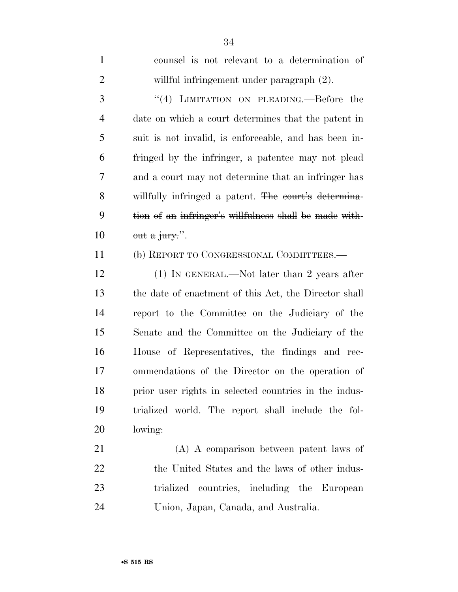counsel is not relevant to a determination of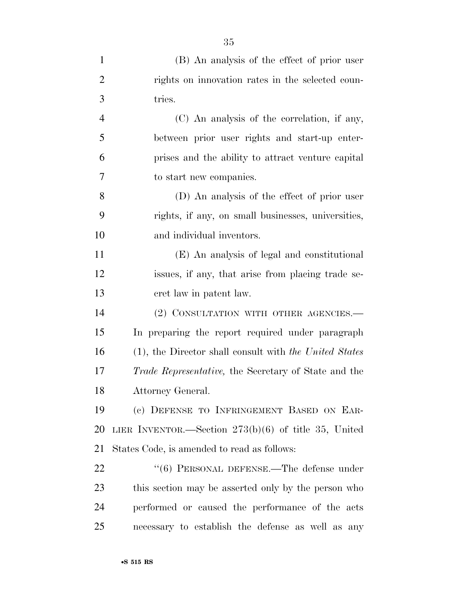| $\mathbf{1}$   | (B) An analysis of the effect of prior user               |
|----------------|-----------------------------------------------------------|
| $\overline{2}$ | rights on innovation rates in the selected coun-          |
| 3              | tries.                                                    |
| $\overline{4}$ | (C) An analysis of the correlation, if any,               |
| 5              | between prior user rights and start-up enter-             |
| 6              | prises and the ability to attract venture capital         |
| 7              | to start new companies.                                   |
| 8              | (D) An analysis of the effect of prior user               |
| 9              | rights, if any, on small businesses, universities,        |
| 10             | and individual inventors.                                 |
| 11             | (E) An analysis of legal and constitutional               |
| 12             | issues, if any, that arise from placing trade se-         |
| 13             | cret law in patent law.                                   |
| 14             | (2) CONSULTATION WITH OTHER AGENCIES.—                    |
| 15             | In preparing the report required under paragraph          |
| 16             | $(1)$ , the Director shall consult with the United States |
| 17             | Trade Representative, the Secretary of State and the      |
| 18             | Attorney General.                                         |
| 19             | (c) DEFENSE TO INFRINGEMENT BASED ON EAR-                 |
| 20             | LIER INVENTOR.—Section $273(b)(6)$ of title 35, United    |
| 21             | States Code, is amended to read as follows:               |
| 22             | "(6) PERSONAL DEFENSE.—The defense under                  |
| 23             | this section may be asserted only by the person who       |
| 24             | performed or caused the performance of the acts           |
| 25             | necessary to establish the defense as well as any         |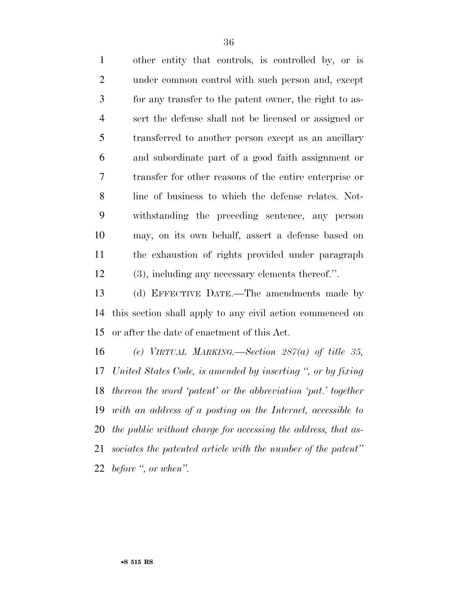other entity that controls, is controlled by, or is 2 under common control with such person and, except for any transfer to the patent owner, the right to as- sert the defense shall not be licensed or assigned or transferred to another person except as an ancillary and subordinate part of a good faith assignment or transfer for other reasons of the entire enterprise or line of business to which the defense relates. Not- withstanding the preceding sentence, any person may, on its own behalf, assert a defense based on the exhaustion of rights provided under paragraph (3), including any necessary elements thereof.''.

 (d) EFFECTIVE DATE.—The amendments made by this section shall apply to any civil action commenced on or after the date of enactment of this Act.

 *(e) VIRTUAL MARKING.—Section 287(a) of title 35, United States Code, is amended by inserting '', or by fixing thereon the word 'patent' or the abbreviation 'pat.' together with an address of a posting on the Internet, accessible to the public without charge for accessing the address, that as- sociates the patented article with the number of the patent'' before '', or when''.*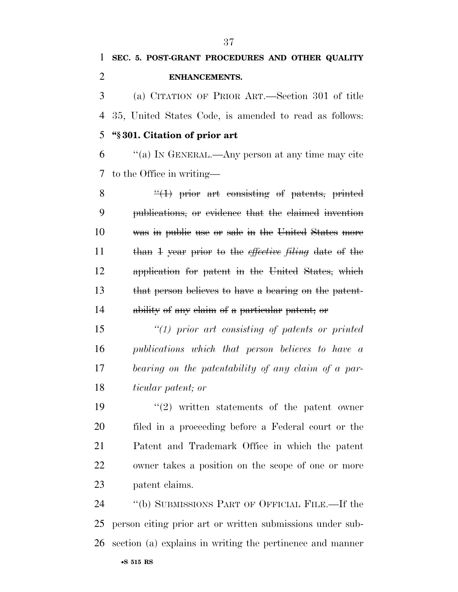# **SEC. 5. POST-GRANT PROCEDURES AND OTHER QUALITY ENHANCEMENTS.**

 (a) CITATION OF PRIOR ART.—Section 301 of title 35, United States Code, is amended to read as follows: **''§ 301. Citation of prior art** 

 ''(a) IN GENERAL.—Any person at any time may cite to the Office in writing—

 ''(1) prior art consisting of patents, printed publications, or evidence that the claimed invention was in public use or sale in the United States more than 1 year prior to the *effective filing* date of the application for patent in the United States, which that person believes to have a bearing on the patent-ability of any claim of a particular patent; or

 *''(1) prior art consisting of patents or printed publications which that person believes to have a bearing on the patentability of any claim of a par-ticular patent; or* 

 $(2)$  written statements of the patent owner filed in a proceeding before a Federal court or the Patent and Trademark Office in which the patent owner takes a position on the scope of one or more patent claims.

 ''(b) SUBMISSIONS PART OF OFFICIAL FILE.—If the person citing prior art or written submissions under sub-section (a) explains in writing the pertinence and manner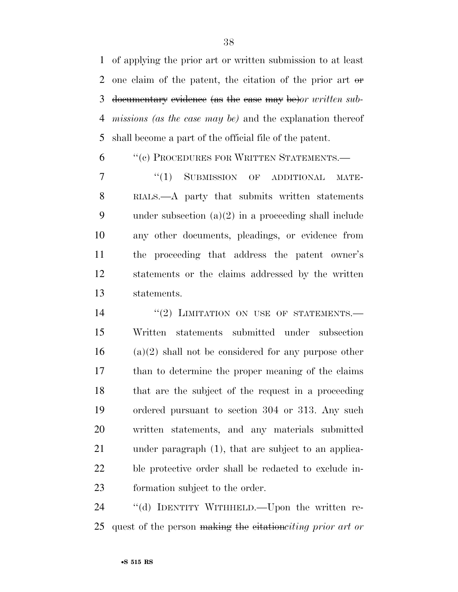of applying the prior art or written submission to at least 2 one claim of the patent, the citation of the prior art or documentary evidence (as the case may be)*or written sub- missions (as the case may be)* and the explanation thereof shall become a part of the official file of the patent.

6 "(c) PROCEDURES FOR WRITTEN STATEMENTS.—

7 "(1) SUBMISSION OF ADDITIONAL MATE- RIALS.—A party that submits written statements under subsection (a)(2) in a proceeding shall include any other documents, pleadings, or evidence from the proceeding that address the patent owner's statements or the claims addressed by the written statements.

14 "(2) LIMITATION ON USE OF STATEMENTS. Written statements submitted under subsection (a)(2) shall not be considered for any purpose other than to determine the proper meaning of the claims that are the subject of the request in a proceeding ordered pursuant to section 304 or 313. Any such written statements, and any materials submitted under paragraph (1), that are subject to an applica- ble protective order shall be redacted to exclude in-formation subject to the order.

24 "(d) IDENTITY WITHHELD.—Upon the written re-quest of the person making the citation*citing prior art or*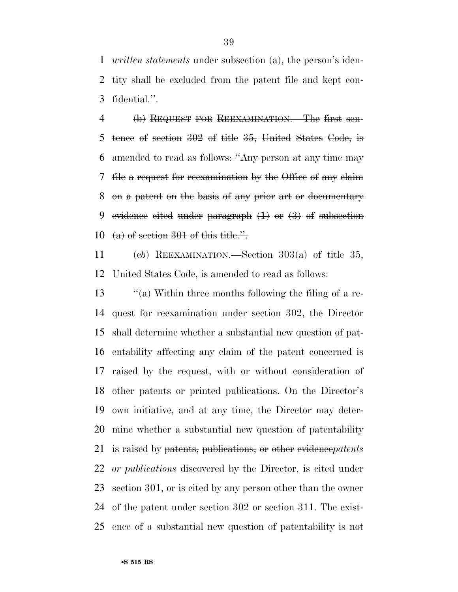*written statements* under subsection (a), the person's iden- tity shall be excluded from the patent file and kept con-fidential.''.

 (b) REQUEST FOR REEXAMINATION.—The first sen- tence of section 302 of title 35, United States Code, is amended to read as follows: ''Any person at any time may file a request for reexamination by the Office of any claim on a patent on the basis of any prior art or documentary 9 evidence cited under paragraph  $(1)$  or  $(3)$  of subsection 10 (a) of section 301 of this title.".

 (c*b*) REEXAMINATION.—Section 303(a) of title 35, United States Code, is amended to read as follows:

 ''(a) Within three months following the filing of a re- quest for reexamination under section 302, the Director shall determine whether a substantial new question of pat- entability affecting any claim of the patent concerned is raised by the request, with or without consideration of other patents or printed publications. On the Director's own initiative, and at any time, the Director may deter- mine whether a substantial new question of patentability is raised by patents, publications, or other evidence*patents or publications* discovered by the Director, is cited under section 301, or is cited by any person other than the owner of the patent under section 302 or section 311. The exist-ence of a substantial new question of patentability is not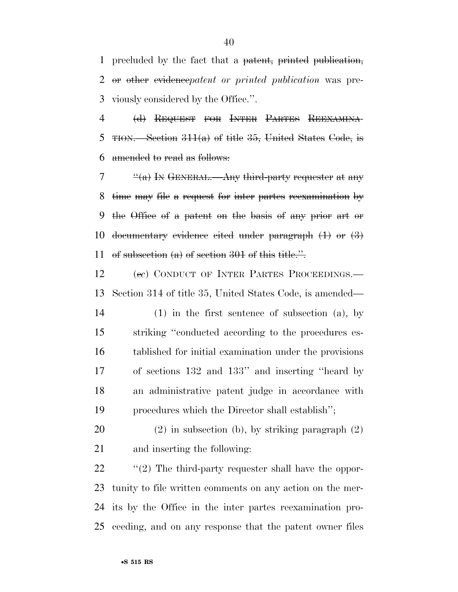precluded by the fact that a patent, printed publication, or other evidence*patent or printed publication* was pre-viously considered by the Office.''.

 (d) REQUEST FOR INTER PARTES REEXAMINA-5 TION.—Section  $311(a)$  of title 35, United States Code, is amended to read as follows:

 $7 \t$ <sup>"(a)</sup> In GENERAL.—Any third-party requester at any time may file a request for inter partes reexamination by the Office of a patent on the basis of any prior art or 10 documentary evidence cited under paragraph  $(1)$  or  $(3)$ 11 of subsection  $(a)$  of section 301 of this title.".

 (e*c*) CONDUCT OF INTER PARTES PROCEEDINGS.— Section 314 of title 35, United States Code, is amended—

 (1) in the first sentence of subsection (a), by striking ''conducted according to the procedures es- tablished for initial examination under the provisions of sections 132 and 133'' and inserting ''heard by an administrative patent judge in accordance with procedures which the Director shall establish'';

 (2) in subsection (b), by striking paragraph (2) and inserting the following:

 ''(2) The third-party requester shall have the oppor- tunity to file written comments on any action on the mer- its by the Office in the inter partes reexamination pro-ceeding, and on any response that the patent owner files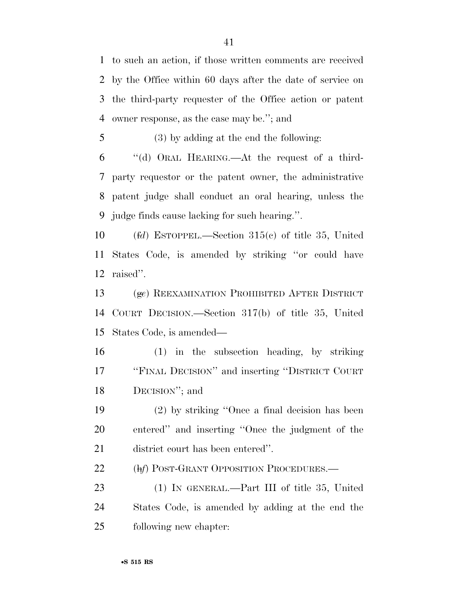to such an action, if those written comments are received by the Office within 60 days after the date of service on the third-party requester of the Office action or patent owner response, as the case may be.''; and

(3) by adding at the end the following:

 ''(d) ORAL HEARING.—At the request of a third- party requestor or the patent owner, the administrative patent judge shall conduct an oral hearing, unless the judge finds cause lacking for such hearing.''.

 (f*d*) ESTOPPEL.—Section 315(c) of title 35, United States Code, is amended by striking ''or could have raised''.

 (g*e*) REEXAMINATION PROHIBITED AFTER DISTRICT COURT DECISION.—Section 317(b) of title 35, United States Code, is amended—

 (1) in the subsection heading, by striking ''FINAL DECISION'' and inserting ''DISTRICT COURT DECISION''; and

 (2) by striking ''Once a final decision has been entered'' and inserting ''Once the judgment of the district court has been entered''.

(h*f*) POST-GRANT OPPOSITION PROCEDURES.—

 (1) IN GENERAL.—Part III of title 35, United States Code, is amended by adding at the end the following new chapter: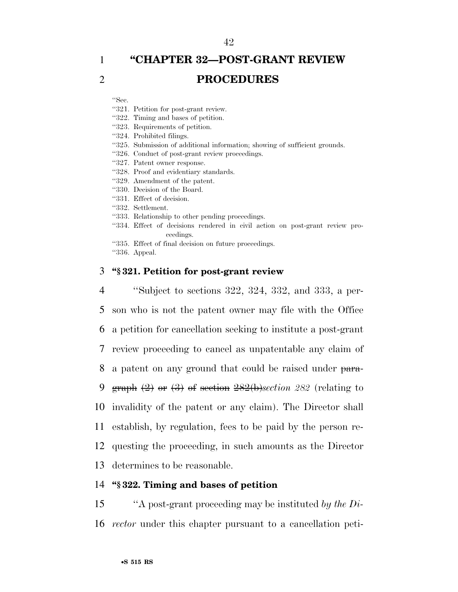# 1 **''CHAPTER 32—POST-GRANT REVIEW**  2 **PROCEDURES**

''Sec.

- ''321. Petition for post-grant review.
- ''322. Timing and bases of petition.
- ''323. Requirements of petition.
- ''324. Prohibited filings.
- ''325. Submission of additional information; showing of sufficient grounds.
- ''326. Conduct of post-grant review proceedings.
- ''327. Patent owner response.
- ''328. Proof and evidentiary standards.
- ''329. Amendment of the patent.
- ''330. Decision of the Board.
- ''331. Effect of decision.
- ''332. Settlement.
- ''333. Relationship to other pending proceedings.
- ''334. Effect of decisions rendered in civil action on post-grant review proceedings.
- ''335. Effect of final decision on future proceedings.
- ''336. Appeal.

### 3 **''§ 321. Petition for post-grant review**

 ''Subject to sections 322, 324, 332, and 333, a per- son who is not the patent owner may file with the Office a petition for cancellation seeking to institute a post-grant review proceeding to cancel as unpatentable any claim of 8 a patent on any ground that could be raised under para- graph (2) or (3) of section 282(b)*section 282* (relating to invalidity of the patent or any claim). The Director shall establish, by regulation, fees to be paid by the person re- questing the proceeding, in such amounts as the Director determines to be reasonable.

# 14 **''§ 322. Timing and bases of petition**

15 ''A post-grant proceeding may be instituted *by the Di-*16 *rector* under this chapter pursuant to a cancellation peti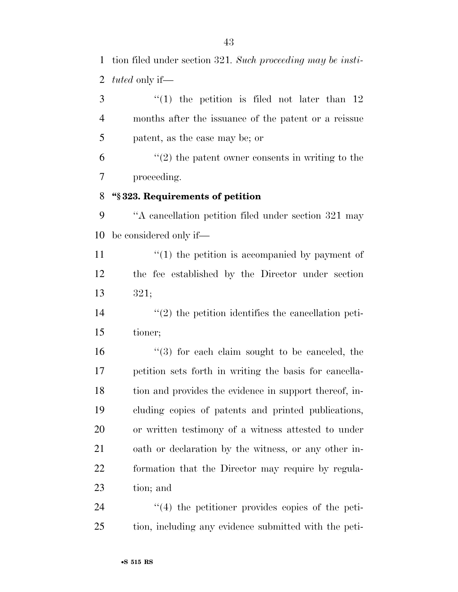tion filed under section 321*. Such proceeding may be insti-tuted* only if—

 ''(1) the petition is filed not later than 12 months after the issuance of the patent or a reissue patent, as the case may be; or

 $(2)$  the patent owner consents in writing to the proceeding.

# **''§ 323. Requirements of petition**

 ''A cancellation petition filed under section 321 may be considered only if—

11  $\frac{1}{2}$  (1) the petition is accompanied by payment of the fee established by the Director under section 321;

14  $\frac{1}{2}$  the petition identifies the cancellation peti-tioner;

16 ''(3) for each claim sought to be canceled, the petition sets forth in writing the basis for cancella- tion and provides the evidence in support thereof, in- cluding copies of patents and printed publications, or written testimony of a witness attested to under oath or declaration by the witness, or any other in- formation that the Director may require by regula-tion; and

24  $\frac{1}{4}$  the petitioner provides copies of the peti-tion, including any evidence submitted with the peti-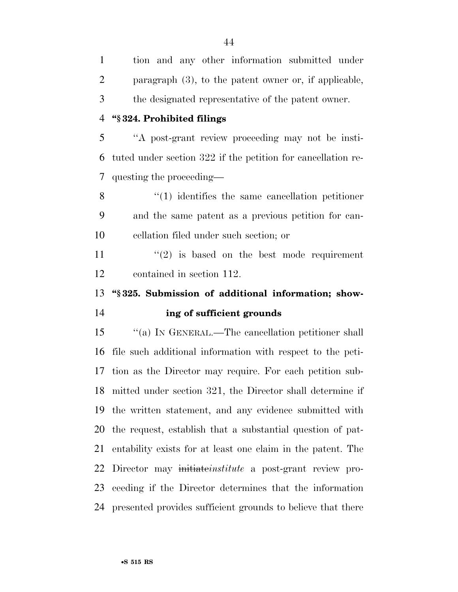| $\mathbf{1}$         | tion and any other information submitted under               |
|----------------------|--------------------------------------------------------------|
| $\overline{2}$       | paragraph $(3)$ , to the patent owner or, if applicable,     |
| 3                    | the designated representative of the patent owner.           |
| $\overline{4}$       | "§324. Prohibited filings                                    |
| 5                    | "A post-grant review proceeding may not be insti-            |
| 6                    | tuted under section 322 if the petition for cancellation re- |
| 7                    | questing the proceeding—                                     |
| 8                    | $\cdot$ (1) identifies the same cancellation petitioner      |
| 9                    | and the same patent as a previous petition for can-          |
| 10                   | cellation filed under such section; or                       |
| 11                   | $\lq(2)$ is based on the best mode requirement               |
| 12                   | contained in section 112.                                    |
|                      |                                                              |
|                      | "§325. Submission of additional information; show-           |
|                      | ing of sufficient grounds                                    |
|                      | "(a) IN GENERAL.—The cancellation petitioner shall           |
| 13<br>14<br>15<br>16 | file such additional information with respect to the peti-   |
| 17                   | tion as the Director may require. For each petition sub-     |
|                      | 18 mitted under section 321, the Director shall determine if |
| 19                   | the written statement, and any evidence submitted with       |
| 20                   | the request, establish that a substantial question of pat-   |
| 21                   | entability exists for at least one claim in the patent. The  |
| 22                   | Director may initiate institute a post-grant review pro-     |
| 23                   | ceeding if the Director determines that the information      |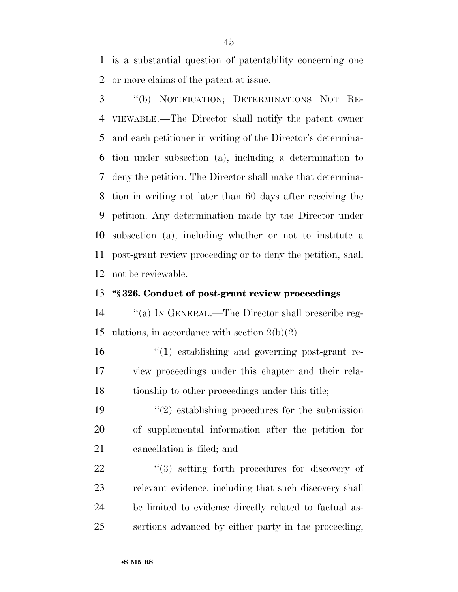is a substantial question of patentability concerning one or more claims of the patent at issue.

 ''(b) NOTIFICATION; DETERMINATIONS NOT RE- VIEWABLE.—The Director shall notify the patent owner and each petitioner in writing of the Director's determina- tion under subsection (a), including a determination to deny the petition. The Director shall make that determina- tion in writing not later than 60 days after receiving the petition. Any determination made by the Director under subsection (a), including whether or not to institute a post-grant review proceeding or to deny the petition, shall not be reviewable.

# **''§ 326. Conduct of post-grant review proceedings**

 ''(a) IN GENERAL.—The Director shall prescribe reg-15 ulations, in accordance with section  $2(b)(2)$ —

 ''(1) establishing and governing post-grant re- view proceedings under this chapter and their rela-tionship to other proceedings under this title;

19  $\frac{1}{2}$  establishing procedures for the submission of supplemental information after the petition for cancellation is filed; and

 $(3)$  setting forth procedures for discovery of relevant evidence, including that such discovery shall be limited to evidence directly related to factual as-sertions advanced by either party in the proceeding,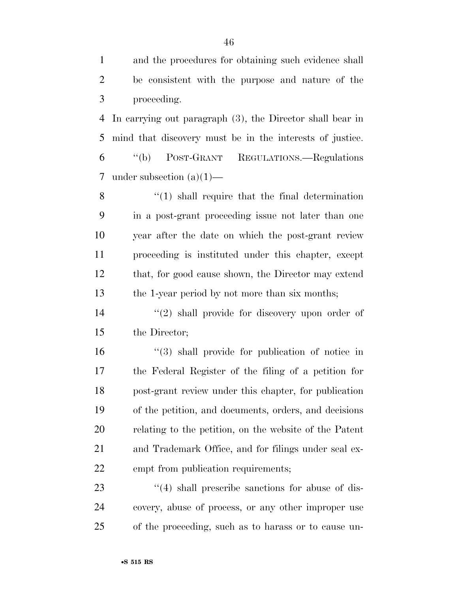| $\mathbf{1}$   | and the procedures for obtaining such evidence shall      |
|----------------|-----------------------------------------------------------|
| $\overline{2}$ | be consistent with the purpose and nature of the          |
| 3              | proceeding.                                               |
| 4              | In carrying out paragraph (3), the Director shall bear in |
| 5              | mind that discovery must be in the interests of justice.  |
| 6              | POST-GRANT REGULATIONS.—Regulations<br>$\lq\lq(b)$        |
| 7              | under subsection $(a)(1)$ —                               |
| 8              | $\cdot$ (1) shall require that the final determination    |
| 9              | in a post-grant proceeding issue not later than one       |
| 10             | year after the date on which the post-grant review        |
| 11             | proceeding is instituted under this chapter, except       |
| 12             | that, for good cause shown, the Director may extend       |
| 13             | the 1-year period by not more than six months;            |
| 14             | $\lq(2)$ shall provide for discovery upon order of        |
| 15             | the Director;                                             |
| 16             | $\lq(3)$ shall provide for publication of notice in       |
| 17             | the Federal Register of the filing of a petition for      |
| 18             | post-grant review under this chapter, for publication     |
| 19             | of the petition, and documents, orders, and decisions     |
| 20             | relating to the petition, on the website of the Patent    |
| 21             | and Trademark Office, and for filings under seal ex-      |
| <u>22</u>      | empt from publication requirements;                       |
| 23             | $\cdot$ (4) shall prescribe sanctions for abuse of dis-   |
| 24             | covery, abuse of process, or any other improper use       |

of the proceeding, such as to harass or to cause un-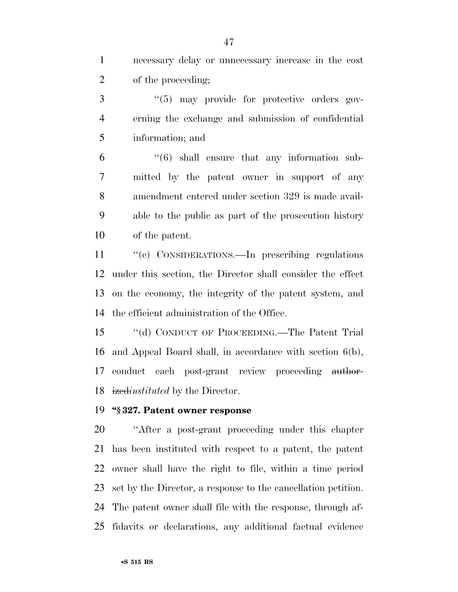necessary delay or unnecessary increase in the cost of the proceeding;

3 "(5) may provide for protective orders gov- erning the exchange and submission of confidential information; and

 "(6) shall ensure that any information sub- mitted by the patent owner in support of any amendment entered under section 329 is made avail- able to the public as part of the prosecution history of the patent.

11 "(c) CONSIDERATIONS.—In prescribing regulations under this section, the Director shall consider the effect on the economy, the integrity of the patent system, and the efficient administration of the Office.

 ''(d) CONDUCT OF PROCEEDING.—The Patent Trial and Appeal Board shall, in accordance with section 6(b), 17 conduct each post-grant review proceeding author-ized*instituted* by the Director.

#### **''§ 327. Patent owner response**

 ''After a post-grant proceeding under this chapter has been instituted with respect to a patent, the patent owner shall have the right to file, within a time period set by the Director, a response to the cancellation petition. The patent owner shall file with the response, through af-fidavits or declarations, any additional factual evidence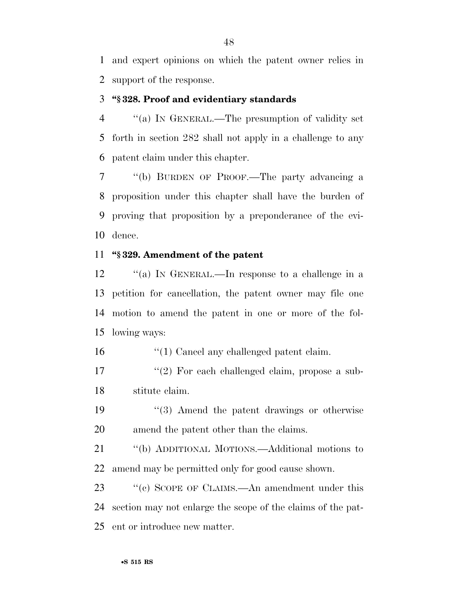and expert opinions on which the patent owner relies in support of the response.

### **''§ 328. Proof and evidentiary standards**

 ''(a) IN GENERAL.—The presumption of validity set forth in section 282 shall not apply in a challenge to any patent claim under this chapter.

 ''(b) BURDEN OF PROOF.—The party advancing a proposition under this chapter shall have the burden of proving that proposition by a preponderance of the evi-dence.

# **''§ 329. Amendment of the patent**

 ''(a) IN GENERAL.—In response to a challenge in a petition for cancellation, the patent owner may file one motion to amend the patent in one or more of the fol-lowing ways:

16  $\frac{1}{2}$  (1) Cancel any challenged patent claim.

17 ''(2) For each challenged claim, propose a sub-stitute claim.

19 ''(3) Amend the patent drawings or otherwise amend the patent other than the claims.

 ''(b) ADDITIONAL MOTIONS.—Additional motions to amend may be permitted only for good cause shown.

23 "(c) SCOPE OF CLAIMS.—An amendment under this section may not enlarge the scope of the claims of the pat-ent or introduce new matter.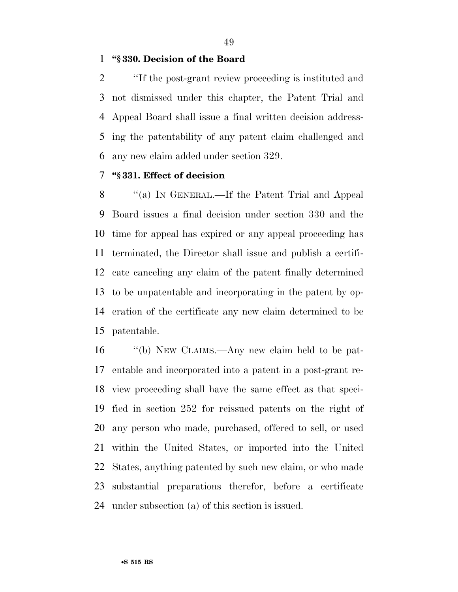### **''§ 330. Decision of the Board**

 ''If the post-grant review proceeding is instituted and not dismissed under this chapter, the Patent Trial and Appeal Board shall issue a final written decision address- ing the patentability of any patent claim challenged and any new claim added under section 329.

# **''§ 331. Effect of decision**

8 "(a) IN GENERAL.—If the Patent Trial and Appeal Board issues a final decision under section 330 and the time for appeal has expired or any appeal proceeding has terminated, the Director shall issue and publish a certifi- cate canceling any claim of the patent finally determined to be unpatentable and incorporating in the patent by op- eration of the certificate any new claim determined to be patentable.

 ''(b) NEW CLAIMS.—Any new claim held to be pat- entable and incorporated into a patent in a post-grant re- view proceeding shall have the same effect as that speci- fied in section 252 for reissued patents on the right of any person who made, purchased, offered to sell, or used within the United States, or imported into the United States, anything patented by such new claim, or who made substantial preparations therefor, before a certificate under subsection (a) of this section is issued.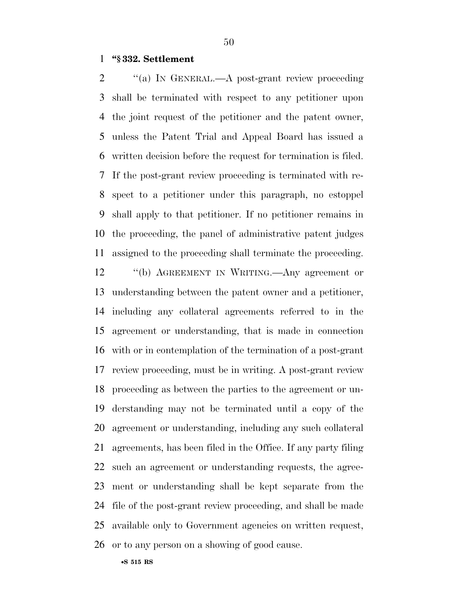#### **''§ 332. Settlement**

2 "(a) IN GENERAL.—A post-grant review proceeding shall be terminated with respect to any petitioner upon the joint request of the petitioner and the patent owner, unless the Patent Trial and Appeal Board has issued a written decision before the request for termination is filed. If the post-grant review proceeding is terminated with re- spect to a petitioner under this paragraph, no estoppel shall apply to that petitioner. If no petitioner remains in the proceeding, the panel of administrative patent judges assigned to the proceeding shall terminate the proceeding.

 ''(b) AGREEMENT IN WRITING.—Any agreement or understanding between the patent owner and a petitioner, including any collateral agreements referred to in the agreement or understanding, that is made in connection with or in contemplation of the termination of a post-grant review proceeding, must be in writing. A post-grant review proceeding as between the parties to the agreement or un- derstanding may not be terminated until a copy of the agreement or understanding, including any such collateral agreements, has been filed in the Office. If any party filing such an agreement or understanding requests, the agree- ment or understanding shall be kept separate from the file of the post-grant review proceeding, and shall be made available only to Government agencies on written request,

or to any person on a showing of good cause.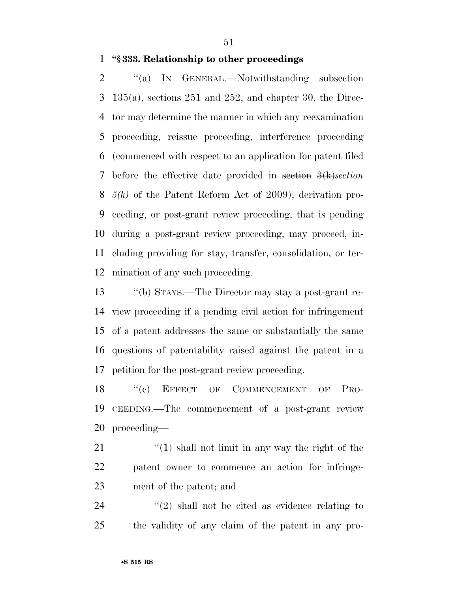#### **''§ 333. Relationship to other proceedings**

2 "(a) IN GENERAL.—Notwithstanding subsection 135(a), sections 251 and 252, and chapter 30, the Direc- tor may determine the manner in which any reexamination proceeding, reissue proceeding, interference proceeding (commenced with respect to an application for patent filed before the effective date provided in section 3(k)*section 5(k)* of the Patent Reform Act of 2009), derivation pro- ceeding, or post-grant review proceeding, that is pending during a post-grant review proceeding, may proceed, in- cluding providing for stay, transfer, consolidation, or ter-mination of any such proceeding.

 ''(b) STAYS.—The Director may stay a post-grant re- view proceeding if a pending civil action for infringement of a patent addresses the same or substantially the same questions of patentability raised against the patent in a petition for the post-grant review proceeding.

18 "(c) EFFECT OF COMMENCEMENT OF PRO- CEEDING.—The commencement of a post-grant review proceeding—

21 ''(1) shall not limit in any way the right of the patent owner to commence an action for infringe-ment of the patent; and

24  $(2)$  shall not be cited as evidence relating to the validity of any claim of the patent in any pro-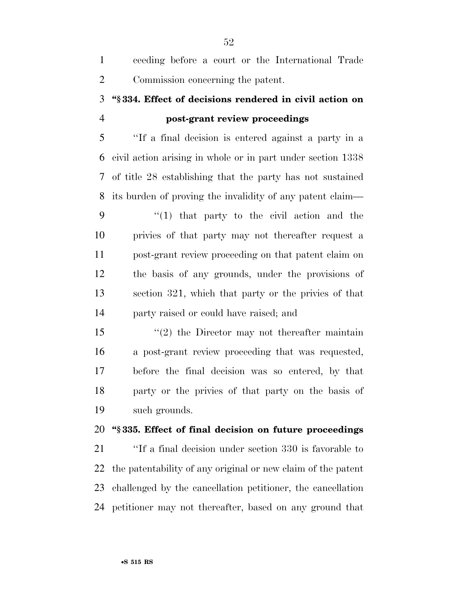| eeding before a court or the International Trade |
|--------------------------------------------------|
| Commission concerning the patent.                |

# **''§ 334. Effect of decisions rendered in civil action on post-grant review proceedings**

 ''If a final decision is entered against a party in a civil action arising in whole or in part under section 1338 of title 28 establishing that the party has not sustained its burden of proving the invalidity of any patent claim—

 $\frac{1}{2}$  (1) that party to the civil action and the privies of that party may not thereafter request a post-grant review proceeding on that patent claim on the basis of any grounds, under the provisions of section 321, which that party or the privies of that party raised or could have raised; and

 ''(2) the Director may not thereafter maintain a post-grant review proceeding that was requested, before the final decision was so entered, by that party or the privies of that party on the basis of such grounds.

# **''§ 335. Effect of final decision on future proceedings**

 ''If a final decision under section 330 is favorable to the patentability of any original or new claim of the patent challenged by the cancellation petitioner, the cancellation petitioner may not thereafter, based on any ground that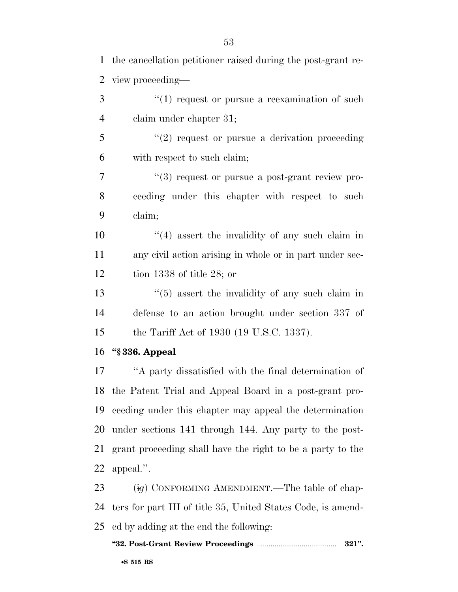the cancellation petitioner raised during the post-grant re- view proceeding— 3 (1) request or pursue a reexamination of such claim under chapter 31; ''(2) request or pursue a derivation proceeding with respect to such claim;  $(3)$  request or pursue a post-grant review pro- ceeding under this chapter with respect to such claim;  $\frac{10}{2}$  ''(4) assert the invalidity of any such claim in any civil action arising in whole or in part under sec- tion 1338 of title 28; or 13 ''(5) assert the invalidity of any such claim in defense to an action brought under section 337 of the Tariff Act of 1930 (19 U.S.C. 1337).

**''§ 336. Appeal** 

 ''A party dissatisfied with the final determination of the Patent Trial and Appeal Board in a post-grant pro- ceeding under this chapter may appeal the determination under sections 141 through 144. Any party to the post- grant proceeding shall have the right to be a party to the appeal.''.

23 (ig) CONFORMING AMENDMENT.—The table of chap- ters for part III of title 35, United States Code, is amend-ed by adding at the end the following:

#### **''32. Post-Grant Review Proceedings** ......................................... **321''.**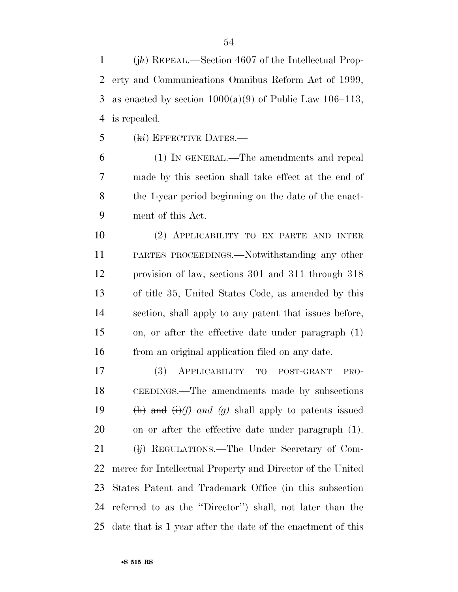(j*h*) REPEAL.—Section 4607 of the Intellectual Prop- erty and Communications Omnibus Reform Act of 1999, 3 as enacted by section  $1000(a)(9)$  of Public Law 106–113, is repealed.

(k*i*) EFFECTIVE DATES.—

 (1) IN GENERAL.—The amendments and repeal made by this section shall take effect at the end of the 1-year period beginning on the date of the enact-ment of this Act.

 (2) APPLICABILITY TO EX PARTE AND INTER PARTES PROCEEDINGS.—Notwithstanding any other provision of law, sections 301 and 311 through 318 of title 35, United States Code, as amended by this section, shall apply to any patent that issues before, on, or after the effective date under paragraph (1) from an original application filed on any date.

 (3) APPLICABILITY TO POST-GRANT PRO- CEEDINGS.—The amendments made by subsections (h) and (i)*(f) and (g)* shall apply to patents issued on or after the effective date under paragraph (1). 21 (*lj*) REGULATIONS.—The Under Secretary of Com- merce for Intellectual Property and Director of the United States Patent and Trademark Office (in this subsection referred to as the ''Director'') shall, not later than the date that is 1 year after the date of the enactment of this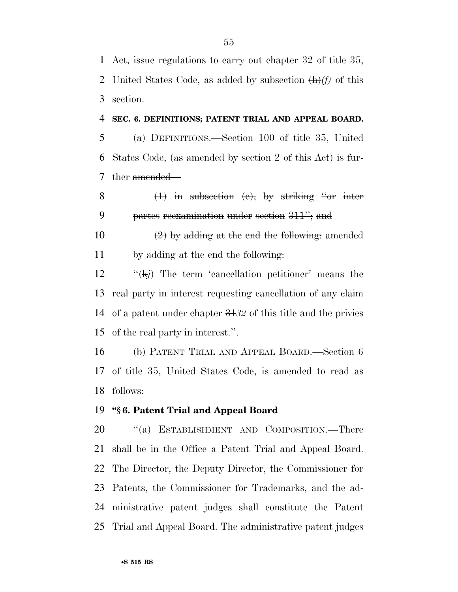Act, issue regulations to carry out chapter 32 of title 35, United States Code, as added by subsection (h)*(f)* of this section.

#### **SEC. 6. DEFINITIONS; PATENT TRIAL AND APPEAL BOARD.**

 (a) DEFINITIONS.—Section 100 of title 35, United States Code, (as amended by section 2 of this Act) is fur-7 ther amended—

8  $(1)$  in subsection (e), by striking "or inter partes reexamination under section 311''; and

10  $\left(2\right)$  by adding at the end the following: amended by adding at the end the following:

 ''(k*j*) The term 'cancellation petitioner' means the real party in interest requesting cancellation of any claim of a patent under chapter 31*32* of this title and the privies of the real party in interest.''.

 (b) PATENT TRIAL AND APPEAL BOARD.—Section 6 of title 35, United States Code, is amended to read as follows:

#### **''§ 6. Patent Trial and Appeal Board**

20 "(a) ESTABLISHMENT AND COMPOSITION.—There shall be in the Office a Patent Trial and Appeal Board. The Director, the Deputy Director, the Commissioner for Patents, the Commissioner for Trademarks, and the ad- ministrative patent judges shall constitute the Patent Trial and Appeal Board. The administrative patent judges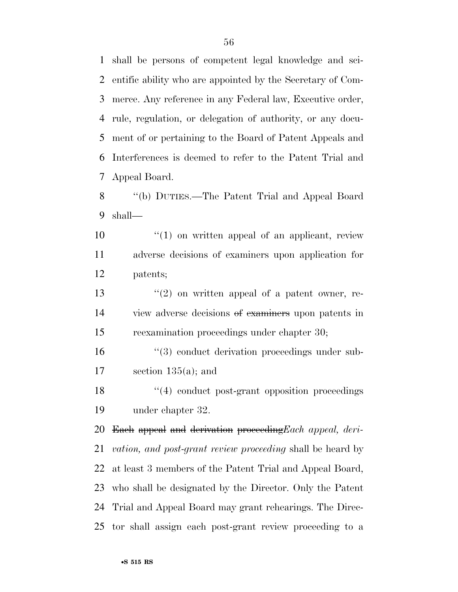shall be persons of competent legal knowledge and sci- entific ability who are appointed by the Secretary of Com- merce. Any reference in any Federal law, Executive order, rule, regulation, or delegation of authority, or any docu- ment of or pertaining to the Board of Patent Appeals and Interferences is deemed to refer to the Patent Trial and Appeal Board.

 ''(b) DUTIES.—The Patent Trial and Appeal Board shall—

 $10 \t\t\t\t\t''(1)$  on written appeal of an applicant, review adverse decisions of examiners upon application for patents;

13  $\frac{13}{2}$  on written appeal of a patent owner, re- view adverse decisions of examiners upon patents in reexamination proceedings under chapter 30;

16  $\frac{16}{3}$  conduct derivation proceedings under sub-17 section  $135(a)$ ; and

18 ''(4) conduct post-grant opposition proceedings under chapter 32.

 Each appeal and derivation proceeding*Each appeal, deri- vation, and post-grant review proceeding* shall be heard by at least 3 members of the Patent Trial and Appeal Board, who shall be designated by the Director. Only the Patent Trial and Appeal Board may grant rehearings. The Direc-tor shall assign each post-grant review proceeding to a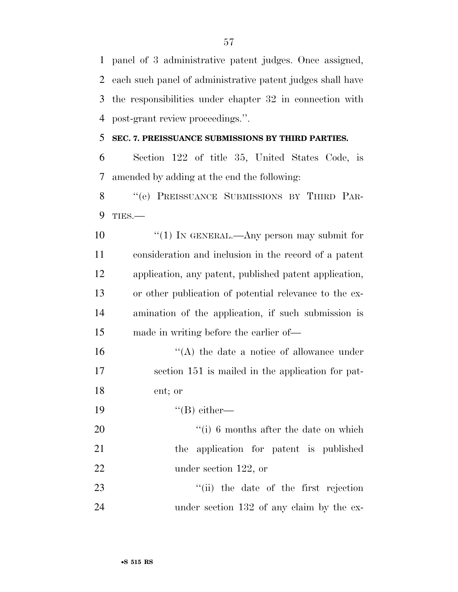panel of 3 administrative patent judges. Once assigned, each such panel of administrative patent judges shall have the responsibilities under chapter 32 in connection with post-grant review proceedings.''.

### **SEC. 7. PREISSUANCE SUBMISSIONS BY THIRD PARTIES.**

 Section 122 of title 35, United States Code, is amended by adding at the end the following:

8 "(e) PREISSUANCE SUBMISSIONS BY THIRD PAR-TIES.—

10 ''(1) In GENERAL.—Any person may submit for consideration and inclusion in the record of a patent application, any patent, published patent application, or other publication of potential relevance to the ex- amination of the application, if such submission is made in writing before the earlier of—

16  $\langle A \rangle$  the date a notice of allowance under section 151 is mailed in the application for pat-ent; or

19  $"({\rm B})$  either—

20  $\frac{1}{10}$  6 months after the date on which the application for patent is published under section 122, or

 ''(ii) the date of the first rejection 24 under section 132 of any claim by the ex-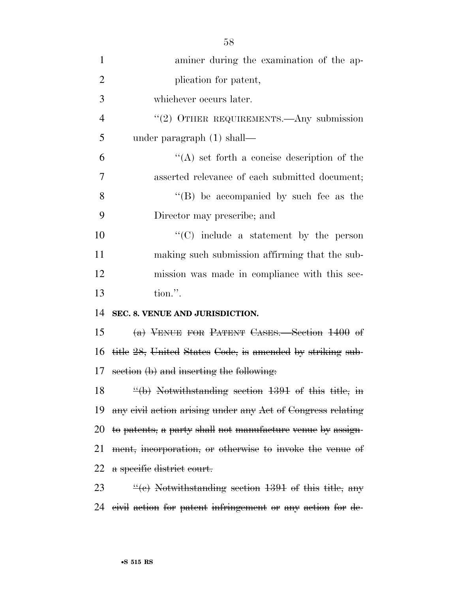| $\mathbf{1}$   | aminer during the examination of the ap-                        |
|----------------|-----------------------------------------------------------------|
| $\overline{2}$ | plication for patent,                                           |
| 3              | whichever occurs later.                                         |
| $\overline{4}$ | "(2) OTHER REQUIREMENTS.—Any submission                         |
| 5              | under paragraph $(1)$ shall—                                    |
| 6              | $\lq\lq$ set forth a concise description of the                 |
| 7              | asserted relevance of each submitted document;                  |
| 8              | "(B) be accompanied by such fee as the                          |
| 9              | Director may prescribe; and                                     |
| 10             | $\cdot$ (C) include a statement by the person                   |
| 11             | making such submission affirming that the sub-                  |
| 12             | mission was made in compliance with this sec-                   |
| 13             | tion.".                                                         |
| 14             | SEC. 8. VENUE AND JURISDICTION.                                 |
| 15             | (a) VENUE FOR PATENT CASES. Section 1400 of                     |
| 16             | title 28, United States Code, is amended by striking sub-       |
| 17             | section (b) and inserting the following.                        |
| 18             | $\frac{u(b)}{b}$ Notwithstanding section 1391 of this title, in |
| 19             | any civil action arising under any Act of Congress relating     |
| 20             | to patents, a party shall not manufacture venue by assign-      |
| 21             | ment, incorporation, or otherwise to invoke the venue of        |
| 22             | a specific district court.                                      |
| 23             | $\frac{u}{c}$ Notwithstanding section 1391 of this title, any   |
| 24             | eivil action for patent infringement or any action for de-      |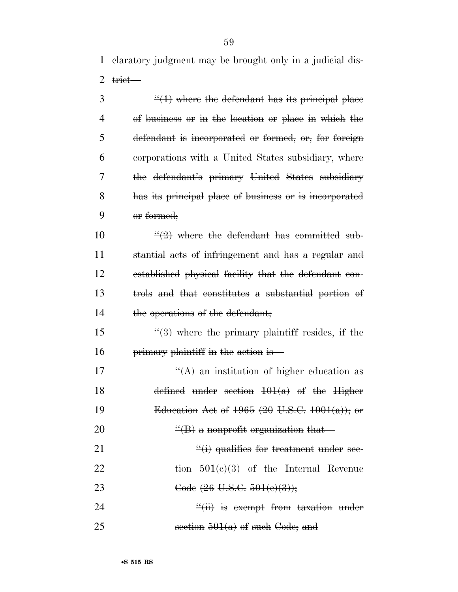1 claratory judgment may be brought only in a judicial dis-2  $t$ rict—

 $\frac{4}{1}$  where the defendant has its principal place of business or in the location or place in which the defendant is incorporated or formed, or, for foreign corporations with a United States subsidiary, where the defendant's primary United States subsidiary has its principal place of business or is incorporated 9 or formed;

 $\frac{u(2)}{2}$  where the defendant has committed sub- stantial acts of infringement and has a regular and established physical facility that the defendant con- trols and that constitutes a substantial portion of 14 the operations of the defendant;

15  $\frac{4}{3}$  where the primary plaintiff resides, if the 16 primary plaintiff in the action is—

17  $\left( \left( A \right)$  an institution of higher education as 18 defined under section  $101(a)$  of the Higher 19 Education Act of  $1965$  (20 U.S.C.  $1001(a)$ ); or 20  $\left( \mathrm{H} \right)$  a nonprofit organization that 21  $\frac{d}{dx}$  qualifies for treatment under sec-22 tion  $501(e)(3)$  of the Internal Revenue 23 Code  $(26 \text{ U.S.C. } 501(e)(3));$ 24 ''(ii) is exempt from taxation under

25 section  $501(a)$  of such Code; and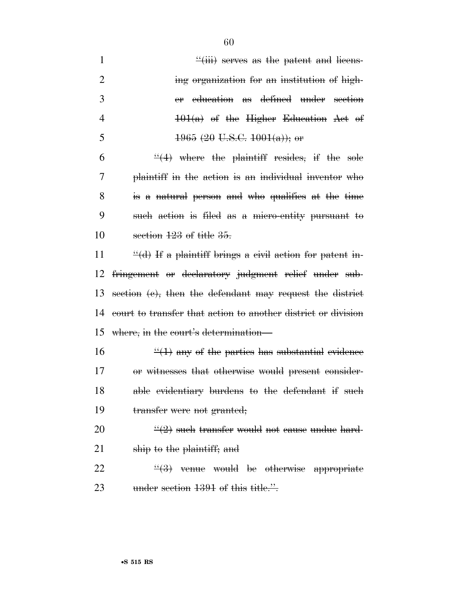| $\mathbf{1}$   | $\frac{u}{i}$ serves as the patent and licens-                |
|----------------|---------------------------------------------------------------|
| $\overline{2}$ | ing organization for an institution of high-                  |
| 3              | education as defined under section<br>er                      |
| $\overline{4}$ | $101(a)$ of the Higher Education Act of                       |
| 5              | $1965$ (20 U.S.C. $1001(a)$ ); or                             |
| 6              | $\frac{4}{1}$ where the plaintiff resides, if the sole        |
| 7              | plaintiff in the action is an individual inventor who         |
| 8              | is a natural person and who qualifies at the time             |
| 9              | such action is filed as a micro-entity pursuant to            |
| 10             | section $123$ of title $35$ .                                 |
| 11             | $\dddot{\mathcal{H}}$ of the plaint of the patent in-         |
| 12             | fringement or declaratory judgment relief under sub-          |
| 13             | section (e), then the defendant may request the district      |
| 14             | court to transfer that action to another district or division |
| 15             | where, in the court's determination—                          |
| 16             | $\frac{1}{2}(1)$ any of the parties has substantial evidence  |
| 17             | or witnesses that otherwise would present consider-           |
| 18             | able evidentiary burdens to the defendant if such             |
| 19             | transfer were not granted;                                    |
| 20             | $\frac{11}{2}$ such transfer would not eause undue hard-      |
| 21             | ship to the plaintiff; and                                    |
| 22             | $\frac{U(2)}{U(2)}$ venue would be otherwise annualizate      |

22  $\frac{4}{3}$  venue would be otherwise appropriate 23 under section 1391 of this title.".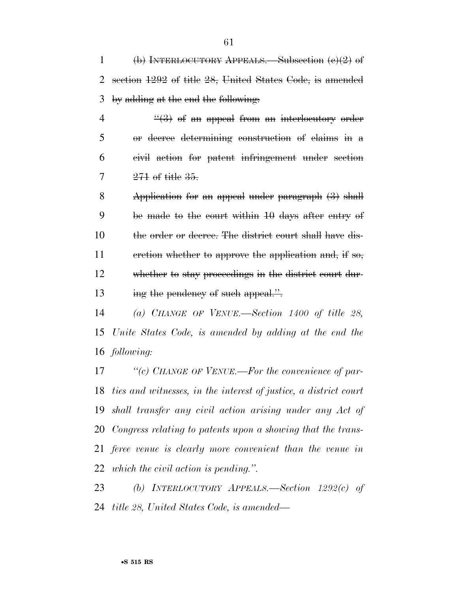(b) INTERLOCUTORY APPEALS.—Subsection (c)(2) of section 1292 of title 28, United States Code, is amended by adding at the end the following:

 $\frac{4}{3}$  of an appeal from an interlocutory order or decree determining construction of claims in a civil action for patent infringement under section  $7 \t 271$  of title  $35$ .

 Application for an appeal under paragraph (3) shall be made to the court within 10 days after entry of the order or decree. The district court shall have dis-11 cretion whether to approve the application and, if so, whether to stay proceedings in the district court dur-13 ing the pendency of such appeal.".

 *(a) CHANGE OF VENUE.—Section 1400 of title 28, Unite States Code, is amended by adding at the end the following:* 

 *''(c) CHANGE OF VENUE.—For the convenience of par- ties and witnesses, in the interest of justice, a district court shall transfer any civil action arising under any Act of Congress relating to patents upon a showing that the trans- feree venue is clearly more convenient than the venue in which the civil action is pending.''.* 

 *(b) INTERLOCUTORY APPEALS.—Section 1292(c) of title 28, United States Code, is amended—*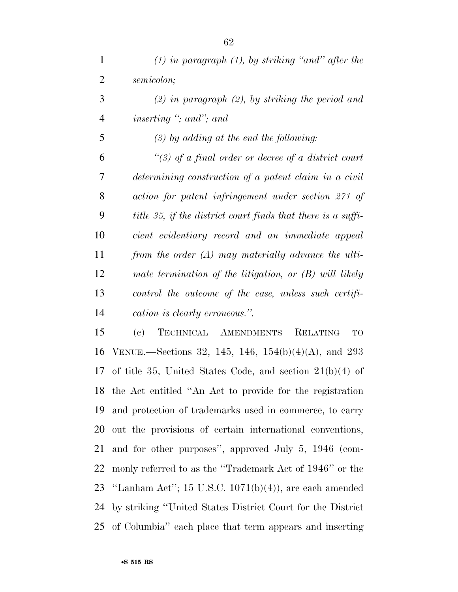*(1) in paragraph (1), by striking ''and'' after the semicolon; (2) in paragraph (2), by striking the period and inserting ''; and''; and (3) by adding at the end the following: ''(3) of a final order or decree of a district court determining construction of a patent claim in a civil action for patent infringement under section 271 of title 35, if the district court finds that there is a suffi- cient evidentiary record and an immediate appeal from the order (A) may materially advance the ulti- mate termination of the litigation, or (B) will likely control the outcome of the case, unless such certifi-cation is clearly erroneous.''.* 

 (c) TECHNICAL AMENDMENTS RELATING TO VENUE.—Sections 32, 145, 146, 154(b)(4)(A), and 293 of title 35, United States Code, and section 21(b)(4) of the Act entitled ''An Act to provide for the registration and protection of trademarks used in commerce, to carry out the provisions of certain international conventions, and for other purposes'', approved July 5, 1946 (com- monly referred to as the ''Trademark Act of 1946'' or the ''Lanham Act''; 15 U.S.C. 1071(b)(4)), are each amended by striking ''United States District Court for the District of Columbia'' each place that term appears and inserting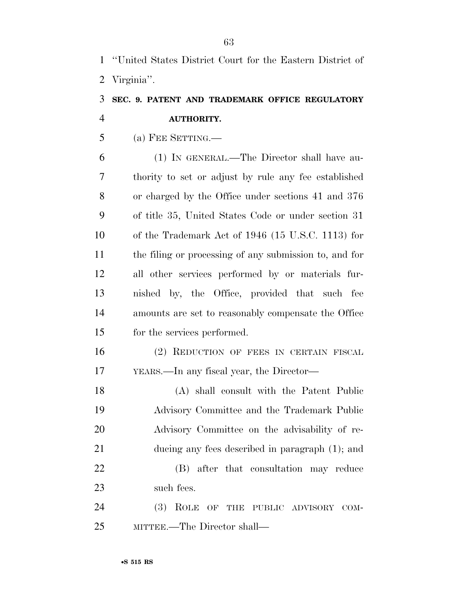''United States District Court for the Eastern District of Virginia''.

# **SEC. 9. PATENT AND TRADEMARK OFFICE REGULATORY AUTHORITY.**

(a) FEE SETTING.—

 (1) IN GENERAL.—The Director shall have au- thority to set or adjust by rule any fee established or charged by the Office under sections 41 and 376 of title 35, United States Code or under section 31 of the Trademark Act of 1946 (15 U.S.C. 1113) for the filing or processing of any submission to, and for all other services performed by or materials fur- nished by, the Office, provided that such fee amounts are set to reasonably compensate the Office for the services performed.

 (2) REDUCTION OF FEES IN CERTAIN FISCAL YEARS.—In any fiscal year, the Director—

 (A) shall consult with the Patent Public Advisory Committee and the Trademark Public Advisory Committee on the advisability of re- ducing any fees described in paragraph (1); and (B) after that consultation may reduce such fees.

 (3) ROLE OF THE PUBLIC ADVISORY COM-MITTEE.—The Director shall—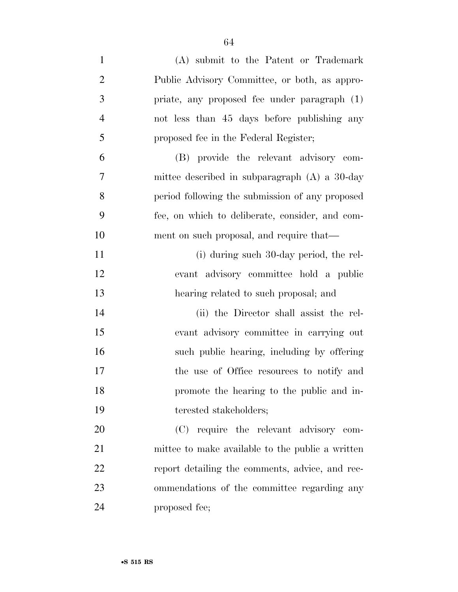| $\mathbf{1}$   | (A) submit to the Patent or Trademark            |
|----------------|--------------------------------------------------|
| $\overline{2}$ | Public Advisory Committee, or both, as appro-    |
| 3              | priate, any proposed fee under paragraph (1)     |
| $\overline{4}$ | not less than 45 days before publishing any      |
| 5              | proposed fee in the Federal Register;            |
| 6              | (B) provide the relevant advisory com-           |
| $\overline{7}$ | mittee described in subparagraph $(A)$ a 30-day  |
| 8              | period following the submission of any proposed  |
| 9              | fee, on which to deliberate, consider, and com-  |
| 10             | ment on such proposal, and require that—         |
| 11             | (i) during such 30-day period, the rel-          |
| 12             | evant advisory committee hold a public           |
| 13             | hearing related to such proposal; and            |
| 14             | (ii) the Director shall assist the rel-          |
| 15             | evant advisory committee in carrying out         |
| 16             | such public hearing, including by offering       |
| 17             | the use of Office resources to notify and        |
| 18             | promote the hearing to the public and in-        |
| 19             | terested stakeholders;                           |
|                |                                                  |
| 20             | (C) require the relevant advisory com-           |
| 21             | mittee to make available to the public a written |
| 22             | report detailing the comments, advice, and rec-  |
| 23             | ommendations of the committee regarding any      |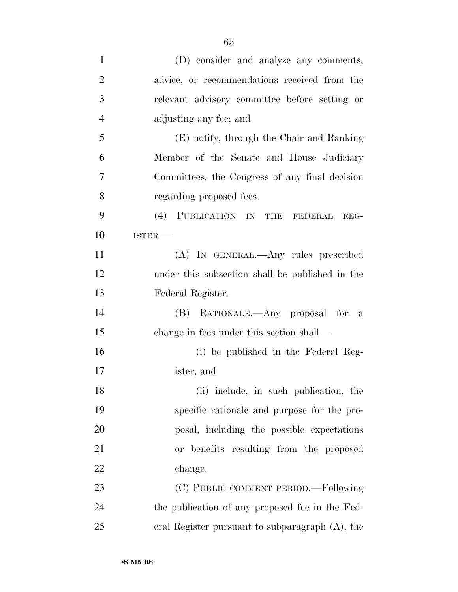| $\mathbf{1}$   | (D) consider and analyze any comments,          |
|----------------|-------------------------------------------------|
| $\overline{2}$ | advice, or recommendations received from the    |
| 3              | relevant advisory committee before setting or   |
| $\overline{4}$ | adjusting any fee; and                          |
| 5              | (E) notify, through the Chair and Ranking       |
| 6              | Member of the Senate and House Judiciary        |
| 7              | Committees, the Congress of any final decision  |
| 8              | regarding proposed fees.                        |
| 9              | (4) PUBLICATION IN THE FEDERAL<br>REG-          |
| 10             | ISTER.-                                         |
| 11             | (A) IN GENERAL.—Any rules prescribed            |
| 12             | under this subsection shall be published in the |
| 13             | Federal Register.                               |
| 14             | (B) RATIONALE.—Any proposal for a               |
| 15             | change in fees under this section shall—        |
| 16             | (i) be published in the Federal Reg-            |
| 17             | ister; and                                      |
| 18             | (ii) include, in such publication, the          |
| 19             | specific rationale and purpose for the pro-     |
| 20             | posal, including the possible expectations      |
| 21             | or benefits resulting from the proposed         |
| 22             | change.                                         |
| 23             | (C) PUBLIC COMMENT PERIOD.—Following            |
| 24             | the publication of any proposed fee in the Fed- |
| 25             | eral Register pursuant to subparagraph (A), the |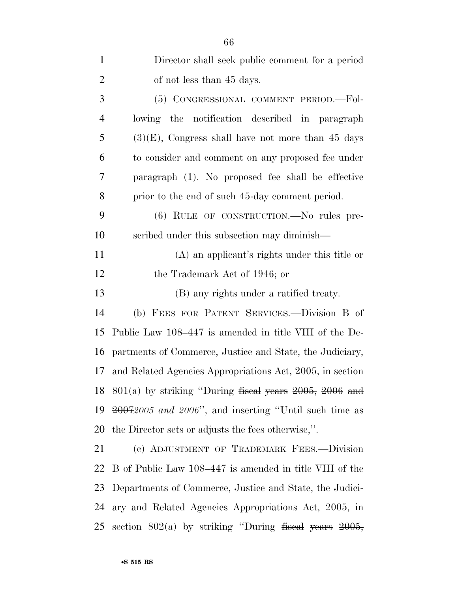| $\mathbf{1}$   | Director shall seek public comment for a period                      |
|----------------|----------------------------------------------------------------------|
| $\overline{2}$ | of not less than 45 days.                                            |
| 3              | (5) CONGRESSIONAL COMMENT PERIOD.-Fol-                               |
| $\overline{4}$ | lowing the<br>notification described in paragraph                    |
| 5              | $(3)(E)$ , Congress shall have not more than 45 days                 |
| 6              | to consider and comment on any proposed fee under                    |
| 7              | paragraph (1). No proposed fee shall be effective                    |
| 8              | prior to the end of such 45-day comment period.                      |
| 9              | (6) RULE OF CONSTRUCTION.—No rules pre-                              |
| 10             | scribed under this subsection may diminish—                          |
| 11             | (A) an applicant's rights under this title or                        |
| 12             | the Trademark Act of 1946; or                                        |
| 13             | (B) any rights under a ratified treaty.                              |
| 14             | (b) FEES FOR PATENT SERVICES.—Division B of                          |
| 15             | Public Law 108–447 is amended in title VIII of the De-               |
| 16             | partments of Commerce, Justice and State, the Judiciary,             |
| 17             | and Related Agencies Appropriations Act, 2005, in section            |
|                | 18 $801(a)$ by striking "During fiseal years $2005$ , $2006$ and     |
|                | 19 <del>2007</del> 2005 and 2006", and inserting "Until such time as |
| 20             | the Director sets or adjusts the fees otherwise,".                   |
| 21             | (c) ADJUSTMENT OF TRADEMARK FEES.-Division                           |
| 22             | B of Public Law 108–447 is amended in title VIII of the              |
| 23             | Departments of Commerce, Justice and State, the Judici-              |
| 24             | ary and Related Agencies Appropriations Act, 2005, in                |
| 25             | section $802(a)$ by striking "During fiscal years $2005$ ,           |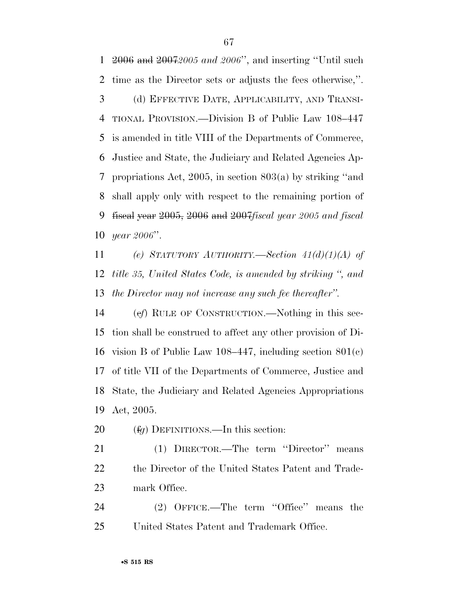2006 and 2007*2005 and 2006*'', and inserting ''Until such time as the Director sets or adjusts the fees otherwise,''. (d) EFFECTIVE DATE, APPLICABILITY, AND TRANSI- TIONAL PROVISION.—Division B of Public Law 108–447 is amended in title VIII of the Departments of Commerce, Justice and State, the Judiciary and Related Agencies Ap- propriations Act, 2005, in section 803(a) by striking ''and shall apply only with respect to the remaining portion of fiscal year 2005, 2006 and 2007*fiscal year 2005 and fiscal year 2006*''.

 *(e) STATUTORY AUTHORITY.—Section 41(d)(1)(A) of title 35, United States Code, is amended by striking '', and the Director may not increase any such fee thereafter''.* 

 (e*f*) RULE OF CONSTRUCTION.—Nothing in this sec- tion shall be construed to affect any other provision of Di- vision B of Public Law 108–447, including section 801(c) of title VII of the Departments of Commerce, Justice and State, the Judiciary and Related Agencies Appropriations Act, 2005.

(f*g*) DEFINITIONS.—In this section:

 (1) DIRECTOR.—The term ''Director'' means the Director of the United States Patent and Trade-mark Office.

24 (2) OFFICE.—The term "Office" means the United States Patent and Trademark Office.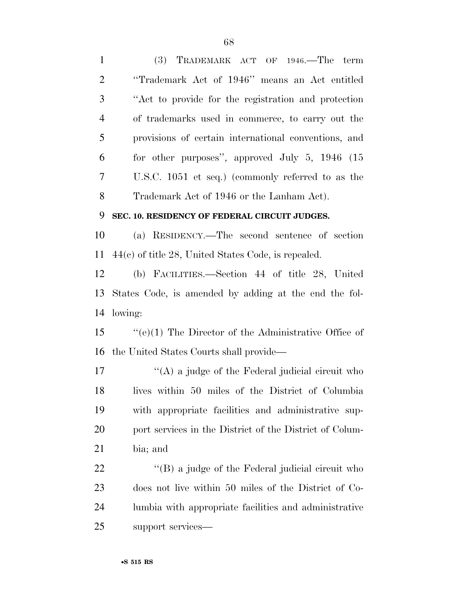| $\mathbf{1}$   | $(3)$ TRADEMARK ACT OF 1946.—The term                    |
|----------------|----------------------------------------------------------|
| $\overline{2}$ | "Trademark Act of 1946" means an Act entitled            |
| 3              | "Act to provide for the registration and protection      |
| $\overline{4}$ | of trademarks used in commerce, to carry out the         |
| 5              | provisions of certain international conventions, and     |
| 6              | for other purposes", approved July 5, $1946$ (15)        |
| 7              | U.S.C. 1051 et seq.) (commonly referred to as the        |
| 8              | Trademark Act of 1946 or the Lanham Act).                |
| 9              | SEC. 10. RESIDENCY OF FEDERAL CIRCUIT JUDGES.            |
| 10             | (a) RESIDENCY.—The second sentence of section            |
| 11             | $44(c)$ of title 28, United States Code, is repealed.    |
| 12             | (b) FACILITIES.—Section 44 of title 28, United           |
| 13             | States Code, is amended by adding at the end the fol-    |
| 14             | lowing:                                                  |
| 15             | $``(e)(1)$ The Director of the Administrative Office of  |
| 16             | the United States Courts shall provide—                  |
| 17             | "(A) a judge of the Federal judicial circuit who         |
| 18             | lives within 50 miles of the District of Columbia        |
| 19             | with appropriate facilities and administrative sup-      |
| 20             | port services in the District of the District of Colum-  |
| 21             | bia; and                                                 |
| 22             | $\lq\lq (B)$ a judge of the Federal judicial circuit who |
| 23             | does not live within 50 miles of the District of Co-     |
| 24             | lumbia with appropriate facilities and administrative    |
| 25             | support services-                                        |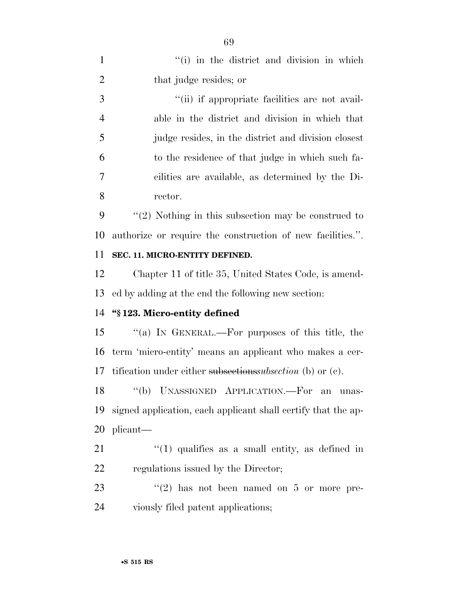| $\mathbf{1}$   | "(i) in the district and division in which                    |
|----------------|---------------------------------------------------------------|
| $\overline{2}$ | that judge resides; or                                        |
| 3              | "(ii) if appropriate facilities are not avail-                |
| $\overline{4}$ | able in the district and division in which that               |
| 5              | judge resides, in the district and division closest           |
| 6              | to the residence of that judge in which such fa-              |
| 7              | cilities are available, as determined by the Di-              |
| 8              | rector.                                                       |
| 9              | $\lq(2)$ Nothing in this subsection may be construed to       |
| 10             | authorize or require the construction of new facilities.".    |
| 11             | SEC. 11. MICRO-ENTITY DEFINED.                                |
| 12             | Chapter 11 of title 35, United States Code, is amend-         |
| 13             | ed by adding at the end the following new section:            |
|                |                                                               |
| 14             | "§123. Micro-entity defined                                   |
| 15             | "(a) IN GENERAL.—For purposes of this title, the              |
| 16             | term 'micro-entity' means an applicant who makes a cer-       |
| 17             | ification under either subsectionssubsection (b) or $(c)$ .   |
| 18             | "(b) UNASSIGNED APPLICATION.—For an<br>unas-                  |
| 19             | signed application, each applicant shall certify that the ap- |
| 20             | plicant—                                                      |
| 21             | $(1)$ qualifies as a small entity, as defined in              |
| 22             | regulations issued by the Director;                           |
| 23             | $\lq(2)$ has not been named on 5 or more pre-                 |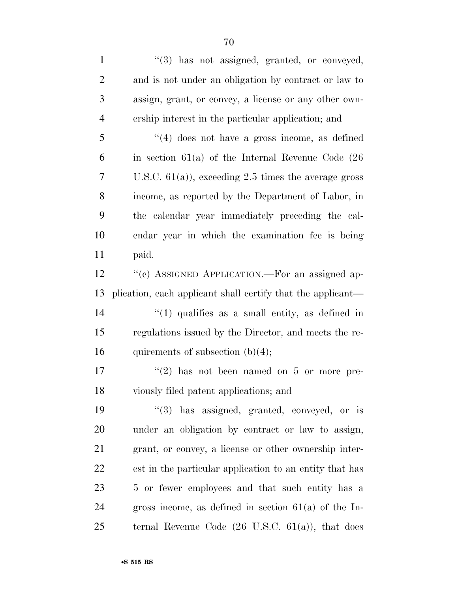1 ''(3) has not assigned, granted, or conveyed, and is not under an obligation by contract or law to assign, grant, or convey, a license or any other own- ership interest in the particular application; and ''(4) does not have a gross income, as defined in section 61(a) of the Internal Revenue Code (26 U.S.C. 61(a)), exceeding 2.5 times the average gross income, as reported by the Department of Labor, in the calendar year immediately preceding the cal- endar year in which the examination fee is being paid. 12 "(c) ASSIGNED APPLICATION.—For an assigned ap- plication, each applicant shall certify that the applicant— 14 ''(1) qualifies as a small entity, as defined in regulations issued by the Director, and meets the re-16 quirements of subsection  $(b)(4)$ ;  $\frac{17}{2}$  ''(2) has not been named on 5 or more pre- viously filed patent applications; and  $\frac{1}{3}$  has assigned, granted, conveyed, or is

 under an obligation by contract or law to assign, grant, or convey, a license or other ownership inter- est in the particular application to an entity that has 5 or fewer employees and that such entity has a gross income, as defined in section 61(a) of the In-ternal Revenue Code (26 U.S.C. 61(a)), that does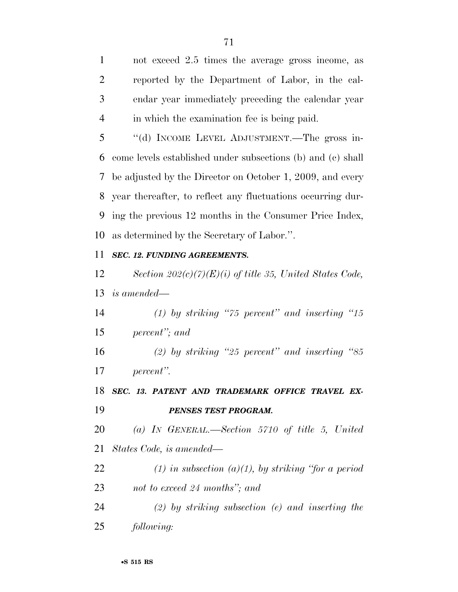not exceed 2.5 times the average gross income, as reported by the Department of Labor, in the cal- endar year immediately preceding the calendar year in which the examination fee is being paid.

 ''(d) INCOME LEVEL ADJUSTMENT.—The gross in- come levels established under subsections (b) and (c) shall be adjusted by the Director on October 1, 2009, and every year thereafter, to reflect any fluctuations occurring dur- ing the previous 12 months in the Consumer Price Index, as determined by the Secretary of Labor.''.

### *SEC. 12. FUNDING AGREEMENTS.*

 *Section 202(c)(7)(E)(i) of title 35, United States Code, is amended—* 

 *(1) by striking ''75 percent'' and inserting ''15 percent''; and* 

 *(2) by striking ''25 percent'' and inserting ''85 percent''.* 

 *SEC. 13. PATENT AND TRADEMARK OFFICE TRAVEL EX-PENSES TEST PROGRAM.* 

 *(a) IN GENERAL.—Section 5710 of title 5, United States Code, is amended—* 

- *(1) in subsection (a)(1), by striking ''for a period not to exceed 24 months''; and*
- *(2) by striking subsection (e) and inserting the following:*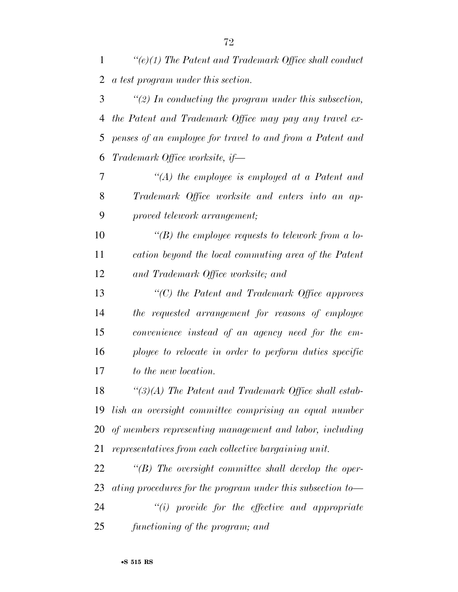*''(e)(1) The Patent and Trademark Office shall conduct a test program under this section.* 

 *''(2) In conducting the program under this subsection, the Patent and Trademark Office may pay any travel ex- penses of an employee for travel to and from a Patent and Trademark Office worksite, if—* 

 *''(A) the employee is employed at a Patent and Trademark Office worksite and enters into an ap-proved telework arrangement;* 

 *''(B) the employee requests to telework from a lo- cation beyond the local commuting area of the Patent and Trademark Office worksite; and* 

 *''(C) the Patent and Trademark Office approves the requested arrangement for reasons of employee convenience instead of an agency need for the em- ployee to relocate in order to perform duties specific to the new location.* 

 *''(3)(A) The Patent and Trademark Office shall estab- lish an oversight committee comprising an equal number of members representing management and labor, including representatives from each collective bargaining unit.* 

 *''(B) The oversight committee shall develop the oper-ating procedures for the program under this subsection to—* 

 *''(i) provide for the effective and appropriate functioning of the program; and*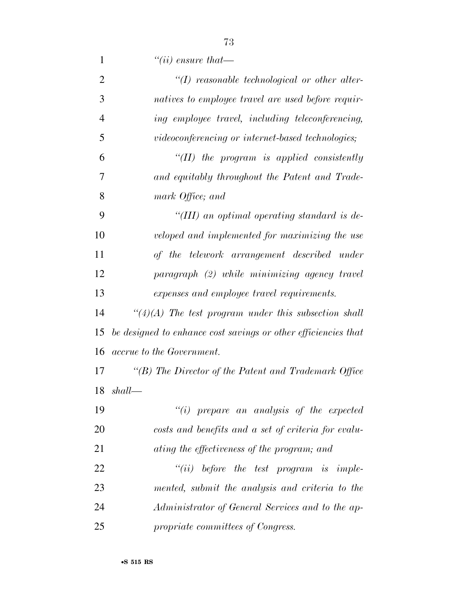*''(ii) ensure that—* 

| $\overline{2}$ | $\lq (I)$ reasonable technological or other alter-             |
|----------------|----------------------------------------------------------------|
| 3              | natives to employee travel are used before requir-             |
| $\overline{4}$ | ing employee travel, including teleconferencing,               |
| 5              | videoconferencing or internet-based technologies;              |
| 6              | "(II) the program is applied consistently                      |
| 7              | and equitably throughout the Patent and Trade-                 |
| 8              | mark Office; and                                               |
| 9              | "(III) an optimal operating standard is de-                    |
| 10             | veloped and implemented for maximizing the use                 |
| 11             | of the telework arrangement described under                    |
| 12             | paragraph (2) while minimizing agency travel                   |
| 13             | expenses and employee travel requirements.                     |
| 14             | $\lq(4)(A)$ The test program under this subsection shall       |
| 15             | be designed to enhance cost savings or other efficiencies that |
| 16             | <i>accrue to the Government.</i>                               |
| 17             | "(B) The Director of the Patent and Trademark Office           |
| 18             | shall                                                          |
| 19             | $"(i)$ prepare an analysis of the expected                     |
| 20             | costs and benefits and a set of criteria for evalu-            |
| 21             | ating the effectiveness of the program; and                    |
| 22             | $``(ii)$ before the test program is imple-                     |
| 23             | mented, submit the analysis and criteria to the                |
| 24             | Administrator of General Services and to the ap-               |
| 25             | propriate committees of Congress.                              |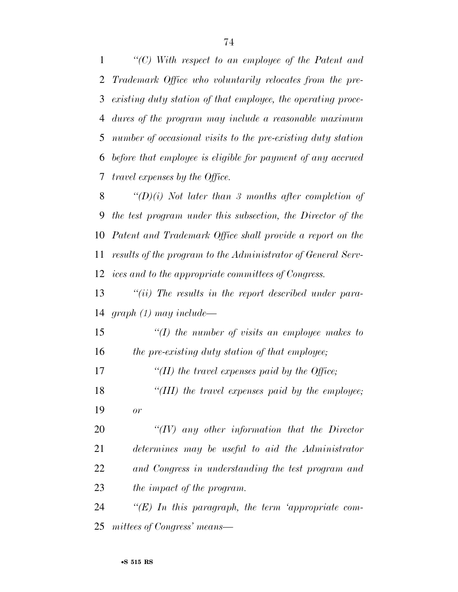*''(C) With respect to an employee of the Patent and Trademark Office who voluntarily relocates from the pre- existing duty station of that employee, the operating proce- dures of the program may include a reasonable maximum number of occasional visits to the pre-existing duty station before that employee is eligible for payment of any accrued travel expenses by the Office.* 

 *''(D)(i) Not later than 3 months after completion of the test program under this subsection, the Director of the Patent and Trademark Office shall provide a report on the results of the program to the Administrator of General Serv-ices and to the appropriate committees of Congress.* 

 *''(ii) The results in the report described under para-graph (1) may include—* 

 *''(I) the number of visits an employee makes to the pre-existing duty station of that employee;* 

*''(II) the travel expenses paid by the Office;* 

 *''(III) the travel expenses paid by the employee; or* 

 *''(IV) any other information that the Director determines may be useful to aid the Administrator and Congress in understanding the test program and the impact of the program.* 

 *''(E) In this paragraph, the term 'appropriate com-mittees of Congress' means—*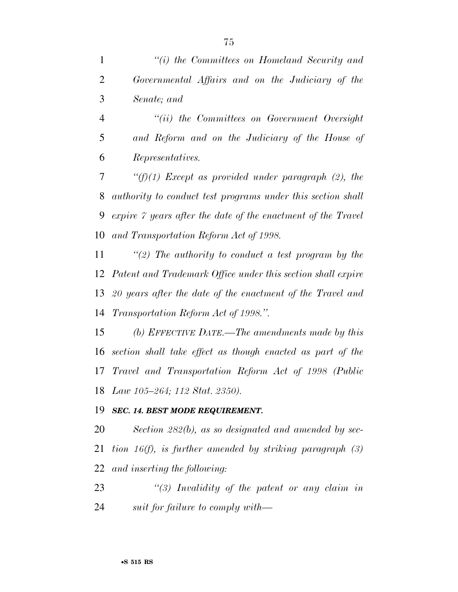*''(i) the Committees on Homeland Security and* 

| $\overline{2}$ | Governmental Affairs and on the Judiciary of the             |
|----------------|--------------------------------------------------------------|
| 3              | Senate; and                                                  |
| $\overline{4}$ | $``(ii)$ the Committees on Government Oversight              |
| 5              | and Reform and on the Judiciary of the House of              |
| 6              | Representatives.                                             |
| 7              | " $(f)(1)$ Except as provided under paragraph (2), the       |
| 8              | authority to conduct test programs under this section shall  |
| 9              | expire 7 years after the date of the enactment of the Travel |
| 10             | and Transportation Reform Act of 1998.                       |
| 11             | "(2) The authority to conduct a test program by the          |
| 12             | Patent and Trademark Office under this section shall expire  |
| 13             | 20 years after the date of the enactment of the Travel and   |
| 14             | Transportation Reform Act of 1998.".                         |
| 15             | (b) EFFECTIVE DATE.—The amendments made by this              |
| 16             | section shall take effect as though enacted as part of the   |
| 17             | Travel and Transportation Reform Act of 1998 (Public         |
| 18             | Law 105–264; 112 Stat. 2350).                                |
|                | 19 SEC. 14. BEST MODE REQUIREMENT.                           |

 *Section 282(b), as so designated and amended by sec- tion 16(f), is further amended by striking paragraph (3) and inserting the following:* 

 *''(3) Invalidity of the patent or any claim in suit for failure to comply with—*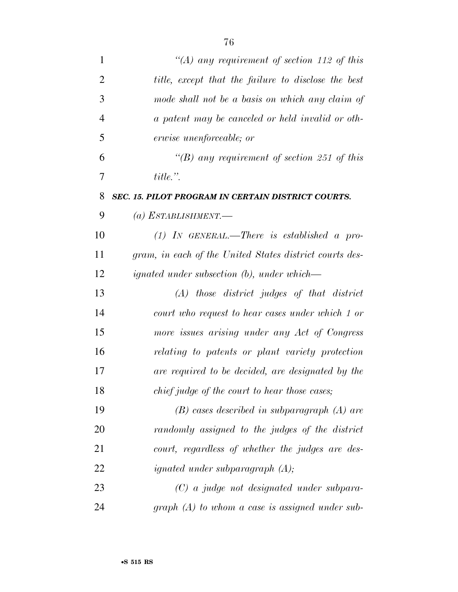| $\mathbf{1}$   | "(A) any requirement of section 112 of this             |
|----------------|---------------------------------------------------------|
| $\overline{2}$ | title, except that the failure to disclose the best     |
| 3              | mode shall not be a basis on which any claim of         |
| $\overline{4}$ | a patent may be canceled or held invalid or oth-        |
| 5              | erwise unenforceable; or                                |
| 6              | "(B) any requirement of section 251 of this             |
| $\overline{7}$ | $title.$ ".                                             |
| 8              | SEC. 15. PILOT PROGRAM IN CERTAIN DISTRICT COURTS.      |
| 9              | (a) ESTABLISHMENT.—                                     |
| 10             | $(1)$ IN GENERAL.—There is established a pro-           |
| 11             | gram, in each of the United States district courts des- |
| 12             | <i>ignated under subsection (b), under which</i> —      |
| 13             | $(A)$ those district judges of that district            |
| 14             | court who request to hear cases under which 1 or        |
| 15             | more issues arising under any Act of Congress           |
| 16             | relating to patents or plant variety protection         |
| 17             | are required to be decided, are designated by the       |
| 18             | chief judge of the court to hear those cases;           |
| 19             | $(B)$ cases described in subparagraph $(A)$ are         |
| 20             | randomly assigned to the judges of the district         |
| 21             | court, regardless of whether the judges are des-        |
| 22             | <i>ignated under subparagraph</i> $(A)$ ;               |
| 23             | $(C)$ a judge not designated under subpara-             |
| 24             | $graph(A)$ to whom a case is assigned under sub-        |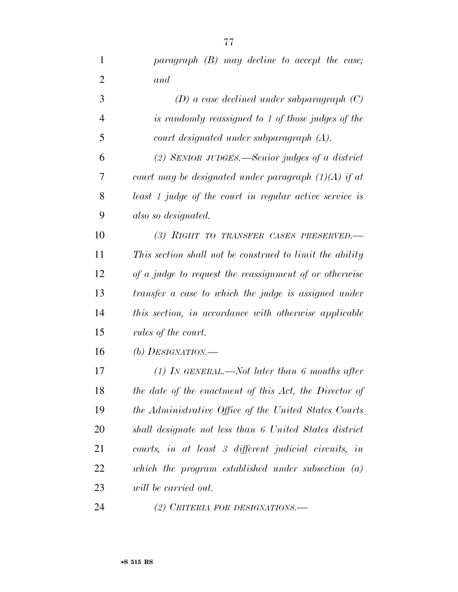| 1              | paragraph $(B)$ may decline to accept the case;          |
|----------------|----------------------------------------------------------|
| $\overline{2}$ | and                                                      |
| 3              | $(D)$ a case declined under subparagraph $(C)$           |
| $\overline{4}$ | is randomly reassigned to 1 of those judges of the       |
| 5              | court designated under subparagraph (A).                 |
| 6              | $(2)$ SENIOR JUDGES.—Senior judges of a district         |
| 7              | court may be designated under paragraph $(1)(A)$ if at   |
| 8              | least 1 judge of the court in regular active service is  |
| 9              | also so designated.                                      |
| 10             | (3) RIGHT TO TRANSFER CASES PRESERVED.-                  |
| 11             | This section shall not be construed to limit the ability |
| 12             | of a judge to request the reassignment of or otherwise   |
| 13             | transfer a case to which the judge is assigned under     |
| 14             | this section, in accordance with otherwise applicable    |
| 15             | rules of the court.                                      |
| 16             | (b) DESIGNATION.—                                        |
| 17             | (1) In GENERAL.—Not later than 6 months after            |
| 18             | the date of the enactment of this Act, the Director of   |
| 19             | the Administrative Office of the United States Courts    |
| 20             | shall designate not less than 6 United States district   |
| 21             | courts, in at least 3 different judicial circuits, in    |
| 22             | which the program established under subsection $(a)$     |
| 23             | will be carried out.                                     |
| 24             | (2) CRITERIA FOR DESIGNATIONS.-                          |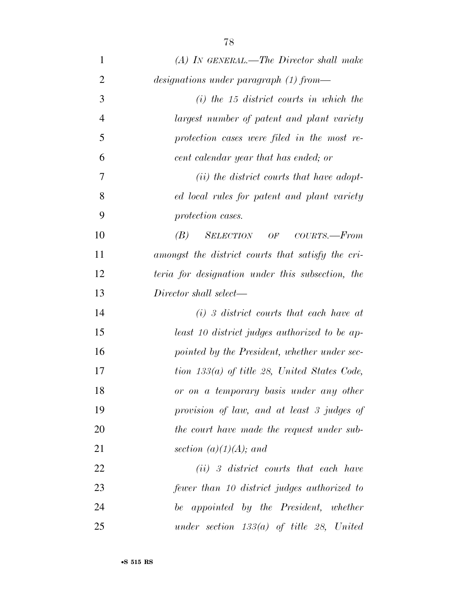| $\mathbf{1}$   | $(A)$ IN GENERAL.—The Director shall make          |
|----------------|----------------------------------------------------|
| $\overline{2}$ | $designations$ under paragraph $(1)$ from—         |
| 3              | $(i)$ the 15 district courts in which the          |
| $\overline{4}$ | largest number of patent and plant variety         |
| 5              | protection cases were filed in the most re-        |
| 6              | cent calendar year that has ended; or              |
| 7              | ( <i>ii</i> ) the district courts that have adopt- |
| 8              | ed local rules for patent and plant variety        |
| 9              | protection cases.                                  |
| 10             | SELECTION OF COURTS.-From<br>(B)                   |
| 11             | amongst the district courts that satisfy the cri-  |
| 12             | teria for designation under this subsection, the   |
| 13             | Director shall select—                             |
| 14             | $(i)$ 3 district courts that each have at          |
| 15             | least 10 district judges authorized to be ap-      |
| 16             | pointed by the President, whether under sec-       |
| 17             | tion $133(a)$ of title 28, United States Code,     |
| 18             | or on a temporary basis under any other            |
| 19             | provision of law, and at least 3 judges of         |
| 20             | the court have made the request under sub-         |
| 21             | section $(a)(1)(A)$ ; and                          |
| 22             | $(ii)$ 3 district courts that each have            |
| 23             | fewer than 10 district judges authorized to        |
| 24             | be appointed by the President, whether             |
| 25             | under section $133(a)$ of title 28, United         |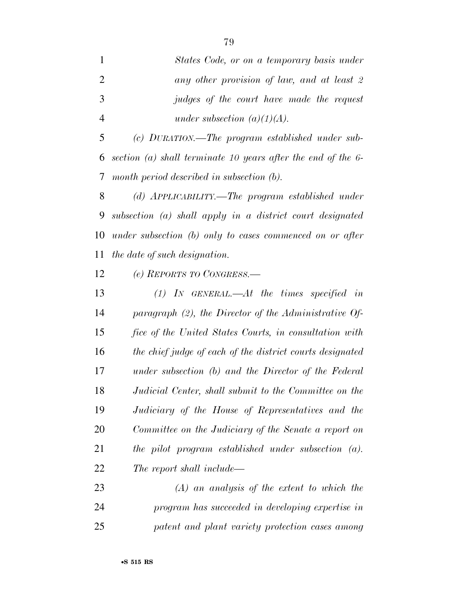*States Code, or on a temporary basis under any other provision of law, and at least 2 judges of the court have made the request under subsection (a)(1)(A).* 

 *(c) DURATION.—The program established under sub- section (a) shall terminate 10 years after the end of the 6- month period described in subsection (b).* 

 *(d) APPLICABILITY.—The program established under subsection (a) shall apply in a district court designated under subsection (b) only to cases commenced on or after the date of such designation.* 

*(e) REPORTS TO CONGRESS.—* 

 *(1) IN GENERAL.—At the times specified in paragraph (2), the Director of the Administrative Of- fice of the United States Courts, in consultation with the chief judge of each of the district courts designated under subsection (b) and the Director of the Federal Judicial Center, shall submit to the Committee on the Judiciary of the House of Representatives and the Committee on the Judiciary of the Senate a report on the pilot program established under subsection (a). The report shall include—* 

 *(A) an analysis of the extent to which the program has succeeded in developing expertise in patent and plant variety protection cases among*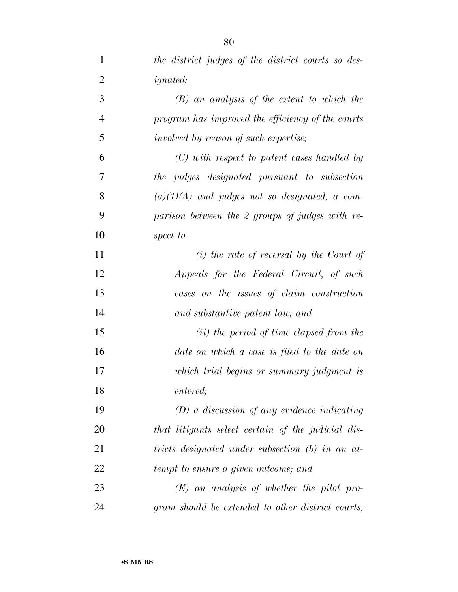| $\mathbf{1}$   | the district judges of the district courts so des- |
|----------------|----------------------------------------------------|
| $\overline{2}$ | <i>ignated</i> ;                                   |
| $\mathfrak{Z}$ | $(B)$ an analysis of the extent to which the       |
| $\overline{4}$ | program has improved the efficiency of the courts  |
| 5              | involved by reason of such expertise;              |
| 6              | $(C)$ with respect to patent cases handled by      |
| 7              | the judges designated pursuant to subsection       |
| 8              | $(a)(1)(A)$ and judges not so designated, a com-   |
| 9              | parison between the 2 groups of judges with re-    |
| 10             | spect to $-$                                       |
| 11             | $(i)$ the rate of reversal by the Court of         |
| 12             | Appeals for the Federal Circuit, of such           |
| 13             | cases on the issues of claim construction          |
| 14             | and substantive patent law; and                    |
| 15             | ( <i>ii</i> ) the period of time elapsed from the  |
| 16             | date on which a case is filed to the date on       |
| 17             | which trial begins or summary judgment is          |
| 18             | entered;                                           |
| 19             | $(D)$ a discussion of any evidence indicating      |
| 20             | that litigants select certain of the judicial dis- |
| 21             | tricts designated under subsection (b) in an at-   |
| 22             | tempt to ensure a given outcome; and               |
| 23             | $(E)$ an analysis of whether the pilot pro-        |
| 24             | gram should be extended to other district courts,  |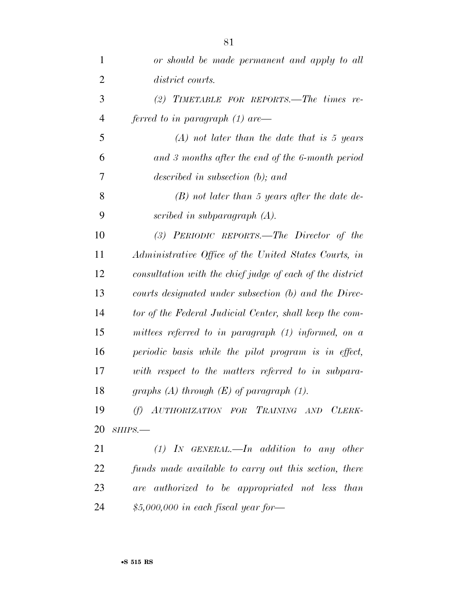| $\mathbf{1}$   | or should be made permanent and apply to all              |
|----------------|-----------------------------------------------------------|
| $\overline{2}$ | district courts.                                          |
| 3              | (2) TIMETABLE FOR REPORTS.—The times $re$ -               |
| $\overline{4}$ | ferred to in paragraph $(1)$ are —                        |
| 5              | $(A)$ not later than the date that is 5 years             |
| 6              | and 3 months after the end of the 6-month period          |
| 7              | described in subsection $(b)$ ; and                       |
| 8              | $(B)$ not later than 5 years after the date de-           |
| 9              | scribed in subparagraph $(A)$ .                           |
| 10             | (3) PERIODIC REPORTS.—The Director of the                 |
| 11             | Administrative Office of the United States Courts, in     |
| 12             | consultation with the chief judge of each of the district |
| 13             | courts designated under subsection (b) and the Direc-     |
| 14             | tor of the Federal Judicial Center, shall keep the com-   |
| 15             | mittees referred to in paragraph $(1)$ informed, on a     |
| 16             | periodic basis while the pilot program is in effect,      |
| 17             | with respect to the matters referred to in subpara-       |
| 18             | graphs $(A)$ through $(E)$ of paragraph $(1)$ .           |
| 19             | (f) AUTHORIZATION FOR TRAINING AND CLERK-                 |
| 20             | SHIPS.                                                    |
| 21             | $(1)$ In GENERAL.—In addition to any other                |
| 22             | funds made available to carry out this section, there     |
| 23             | are authorized to be appropriated not less than           |
| 24             | $$5,000,000$ in each fiscal year for-                     |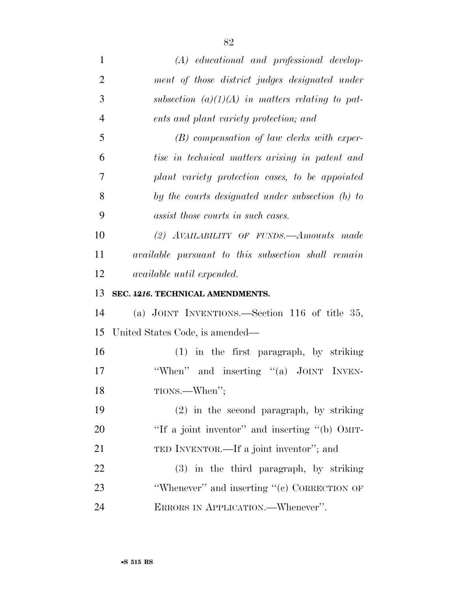| $\mathbf{1}$   | $(A)$ educational and professional develop-               |
|----------------|-----------------------------------------------------------|
| $\overline{2}$ | ment of those district judges designated under            |
| 3              | subsection $(a)(1)(A)$ in matters relating to pat-        |
| $\overline{4}$ | ents and plant variety protection; and                    |
| 5              | $(B)$ compensation of law clerks with exper-              |
| 6              | tise in technical matters arising in patent and           |
| 7              | plant variety protection cases, to be appointed           |
| 8              | by the courts designated under subsection (b) to          |
| 9              | assist those courts in such cases.                        |
| 10             | (2) AVAILABILITY OF FUNDS.—Amounts made                   |
| 11             | <i>available pursuant to this subsection shall remain</i> |
| 12             | <i>available until expended.</i>                          |
| 13             | SEC. 4216. TECHNICAL AMENDMENTS.                          |
|                |                                                           |
| 14             | (a) JOINT INVENTIONS.—Section 116 of title $35$ ,         |
| 15             | United States Code, is amended—                           |
| 16             | $(1)$ in the first paragraph, by striking                 |
| 17             | "When" and inserting "(a) JOINT INVEN-                    |
| 18             | TIONS.—When";                                             |
| 19             | $(2)$ in the second paragraph, by striking                |
| 20             | "If a joint inventor" and inserting "(b) OMIT-            |
| 21             | TED INVENTOR.—If a joint inventor"; and                   |
| 22             | (3) in the third paragraph, by striking                   |
| 23             | "Whenever" and inserting "(c) CORRECTION OF               |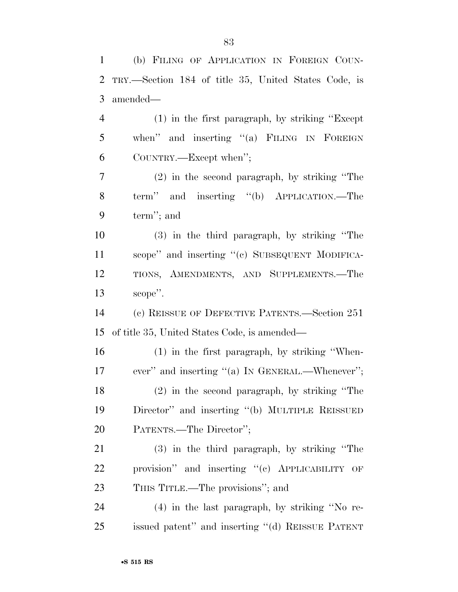| $\mathbf{1}$   | (b) FILING OF APPLICATION IN FOREIGN COUN-           |
|----------------|------------------------------------------------------|
| $\overline{2}$ | TRY.—Section 184 of title 35, United States Code, is |
| 3              | amended—                                             |
| $\overline{4}$ | $(1)$ in the first paragraph, by striking "Except"   |
| 5              | when" and inserting "(a) FILING IN FOREIGN           |
| 6              | COUNTRY.—Except when";                               |
| $\overline{7}$ | $(2)$ in the second paragraph, by striking "The      |
| 8              | term" and inserting "(b) APPLICATION.—The            |
| 9              | term"; and                                           |
| 10             | $(3)$ in the third paragraph, by striking "The       |
| 11             | scope" and inserting "(c) SUBSEQUENT MODIFICA-       |
| 12             | TIONS, AMENDMENTS, AND SUPPLEMENTS.-The              |
| 13             | scope".                                              |
| 14             | (c) REISSUE OF DEFECTIVE PATENTS.—Section 251        |
| 15             | of title 35, United States Code, is amended—         |
| 16             | $(1)$ in the first paragraph, by striking "When-     |
| 17             | ever" and inserting "(a) IN GENERAL.—Whenever";      |
| 18             | (2) in the second paragraph, by striking "The        |
| 19             | Director" and inserting "(b) MULTIPLE REISSUED       |
| 20             | PATENTS.—The Director";                              |
| 21             | (3) in the third paragraph, by striking "The         |
| 22             | provision" and inserting "(c) APPLICABILITY OF       |
| 23             | THIS TITLE.—The provisions"; and                     |
| 24             | $(4)$ in the last paragraph, by striking "No re-     |
| 25             | issued patent" and inserting "(d) REISSUE PATENT     |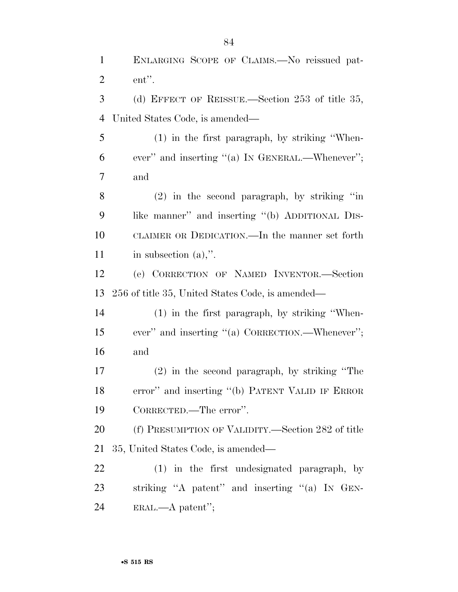ENLARGING SCOPE OF CLAIMS.—No reissued pat- ent''. (d) EFFECT OF REISSUE.—Section 253 of title 35, United States Code, is amended— (1) in the first paragraph, by striking ''When- ever'' and inserting ''(a) IN GENERAL.—Whenever''; and (2) in the second paragraph, by striking ''in like manner'' and inserting ''(b) ADDITIONAL DIS- CLAIMER OR DEDICATION.—In the manner set forth 11 in subsection (a),". (e) CORRECTION OF NAMED INVENTOR.—Section 256 of title 35, United States Code, is amended— (1) in the first paragraph, by striking ''When- ever'' and inserting ''(a) CORRECTION.—Whenever''; and (2) in the second paragraph, by striking ''The error'' and inserting ''(b) PATENT VALID IF ERROR CORRECTED.—The error''.

 (f) PRESUMPTION OF VALIDITY.—Section 282 of title 35, United States Code, is amended—

 (1) in the first undesignated paragraph, by striking ''A patent'' and inserting ''(a) IN GEN-ERAL.—A patent'';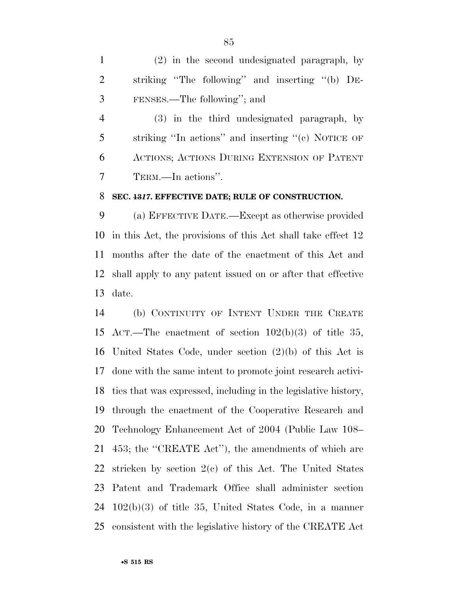(2) in the second undesignated paragraph, by striking ''The following'' and inserting ''(b) DE-FENSES.—The following''; and

 (3) in the third undesignated paragraph, by striking ''In actions'' and inserting ''(c) NOTICE OF ACTIONS; ACTIONS DURING EXTENSION OF PATENT TERM.—In actions''.

## **SEC. 13***17***. EFFECTIVE DATE; RULE OF CONSTRUCTION.**

 (a) EFFECTIVE DATE.—Except as otherwise provided in this Act, the provisions of this Act shall take effect 12 months after the date of the enactment of this Act and shall apply to any patent issued on or after that effective date.

 (b) CONTINUITY OF INTENT UNDER THE CREATE ACT.—The enactment of section 102(b)(3) of title 35, United States Code, under section (2)(b) of this Act is done with the same intent to promote joint research activi- ties that was expressed, including in the legislative history, through the enactment of the Cooperative Research and Technology Enhancement Act of 2004 (Public Law 108– 453; the ''CREATE Act''), the amendments of which are stricken by section 2(c) of this Act. The United States Patent and Trademark Office shall administer section 102(b)(3) of title 35, United States Code, in a manner consistent with the legislative history of the CREATE Act